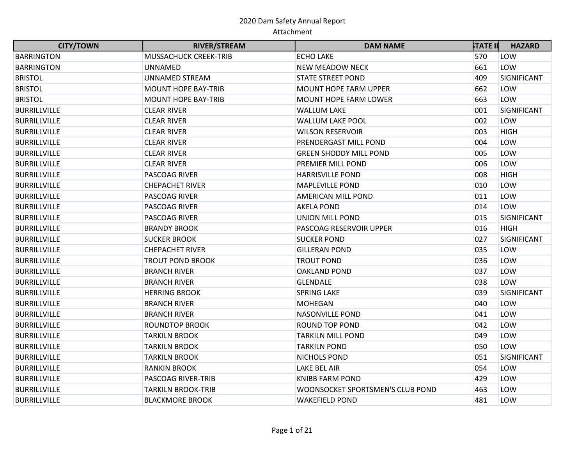| <b>CITY/TOWN</b>    | <b>RIVER/STREAM</b>          | <b>DAM NAME</b>                  | ኦTATE II | <b>HAZARD</b> |
|---------------------|------------------------------|----------------------------------|----------|---------------|
| <b>BARRINGTON</b>   | <b>MUSSACHUCK CREEK-TRIB</b> | <b>ECHO LAKE</b>                 | 570      | LOW           |
| <b>BARRINGTON</b>   | <b>UNNAMED</b>               | <b>NEW MEADOW NECK</b>           | 661      | LOW           |
| <b>BRISTOL</b>      | <b>UNNAMED STREAM</b>        | <b>STATE STREET POND</b>         | 409      | SIGNIFICANT   |
| <b>BRISTOL</b>      | <b>MOUNT HOPE BAY-TRIB</b>   | <b>MOUNT HOPE FARM UPPER</b>     | 662      | LOW           |
| <b>BRISTOL</b>      | <b>MOUNT HOPE BAY-TRIB</b>   | <b>MOUNT HOPE FARM LOWER</b>     | 663      | LOW           |
| <b>BURRILLVILLE</b> | <b>CLEAR RIVER</b>           | <b>WALLUM LAKE</b>               | 001      | SIGNIFICANT   |
| <b>BURRILLVILLE</b> | <b>CLEAR RIVER</b>           | <b>WALLUM LAKE POOL</b>          | 002      | LOW           |
| <b>BURRILLVILLE</b> | <b>CLEAR RIVER</b>           | <b>WILSON RESERVOIR</b>          | 003      | <b>HIGH</b>   |
| <b>BURRILLVILLE</b> | <b>CLEAR RIVER</b>           | PRENDERGAST MILL POND            | 004      | LOW           |
| <b>BURRILLVILLE</b> | <b>CLEAR RIVER</b>           | <b>GREEN SHODDY MILL POND</b>    | 005      | LOW           |
| <b>BURRILLVILLE</b> | <b>CLEAR RIVER</b>           | PREMIER MILL POND                | 006      | LOW           |
| <b>BURRILLVILLE</b> | PASCOAG RIVER                | <b>HARRISVILLE POND</b>          | 008      | <b>HIGH</b>   |
| <b>BURRILLVILLE</b> | <b>CHEPACHET RIVER</b>       | <b>MAPLEVILLE POND</b>           | 010      | LOW           |
| <b>BURRILLVILLE</b> | <b>PASCOAG RIVER</b>         | AMERICAN MILL POND               | 011      | LOW           |
| <b>BURRILLVILLE</b> | PASCOAG RIVER                | <b>AKELA POND</b>                | 014      | LOW           |
| <b>BURRILLVILLE</b> | PASCOAG RIVER                | UNION MILL POND                  | 015      | SIGNIFICANT   |
| <b>BURRILLVILLE</b> | <b>BRANDY BROOK</b>          | PASCOAG RESERVOIR UPPER          | 016      | <b>HIGH</b>   |
| <b>BURRILLVILLE</b> | <b>SUCKER BROOK</b>          | <b>SUCKER POND</b>               | 027      | SIGNIFICANT   |
| <b>BURRILLVILLE</b> | <b>CHEPACHET RIVER</b>       | <b>GILLERAN POND</b>             | 035      | LOW           |
| <b>BURRILLVILLE</b> | <b>TROUT POND BROOK</b>      | <b>TROUT POND</b>                | 036      | LOW           |
| <b>BURRILLVILLE</b> | <b>BRANCH RIVER</b>          | <b>OAKLAND POND</b>              | 037      | LOW           |
| <b>BURRILLVILLE</b> | <b>BRANCH RIVER</b>          | <b>GLENDALE</b>                  | 038      | LOW           |
| <b>BURRILLVILLE</b> | <b>HERRING BROOK</b>         | <b>SPRING LAKE</b>               | 039      | SIGNIFICANT   |
| <b>BURRILLVILLE</b> | <b>BRANCH RIVER</b>          | <b>MOHEGAN</b>                   | 040      | LOW           |
| <b>BURRILLVILLE</b> | <b>BRANCH RIVER</b>          | <b>NASONVILLE POND</b>           | 041      | LOW           |
| <b>BURRILLVILLE</b> | <b>ROUNDTOP BROOK</b>        | <b>ROUND TOP POND</b>            | 042      | LOW           |
| <b>BURRILLVILLE</b> | <b>TARKILN BROOK</b>         | <b>TARKILN MILL POND</b>         | 049      | LOW           |
| <b>BURRILLVILLE</b> | <b>TARKILN BROOK</b>         | <b>TARKILN POND</b>              | 050      | LOW           |
| <b>BURRILLVILLE</b> | <b>TARKILN BROOK</b>         | NICHOLS POND                     | 051      | SIGNIFICANT   |
| <b>BURRILLVILLE</b> | <b>RANKIN BROOK</b>          | LAKE BEL AIR                     | 054      | LOW           |
| <b>BURRILLVILLE</b> | PASCOAG RIVER-TRIB           | <b>KNIBB FARM POND</b>           | 429      | LOW           |
| <b>BURRILLVILLE</b> | <b>TARKILN BROOK-TRIB</b>    | WOONSOCKET SPORTSMEN'S CLUB POND | 463      | LOW           |
| <b>BURRILLVILLE</b> | <b>BLACKMORE BROOK</b>       | <b>WAKEFIELD POND</b>            | 481      | LOW           |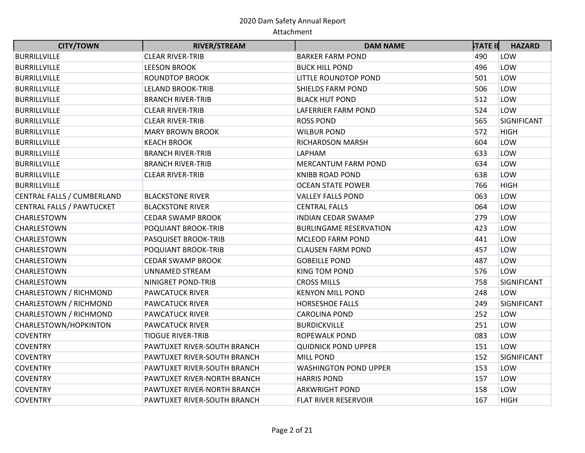| <b>CITY/TOWN</b>                 | <b>RIVER/STREAM</b>         | <b>DAM NAME</b>               | <b>STATE II</b> | <b>HAZARD</b> |
|----------------------------------|-----------------------------|-------------------------------|-----------------|---------------|
| <b>BURRILLVILLE</b>              | <b>CLEAR RIVER-TRIB</b>     | <b>BARKER FARM POND</b>       | 490             | LOW           |
| <b>BURRILLVILLE</b>              | <b>LEESON BROOK</b>         | <b>BUCK HILL POND</b>         | 496             | LOW           |
| <b>BURRILLVILLE</b>              | <b>ROUNDTOP BROOK</b>       | LITTLE ROUNDTOP POND          | 501             | LOW           |
| <b>BURRILLVILLE</b>              | <b>LELAND BROOK-TRIB</b>    | <b>SHIELDS FARM POND</b>      | 506             | LOW           |
| <b>BURRILLVILLE</b>              | <b>BRANCH RIVER-TRIB</b>    | <b>BLACK HUT POND</b>         | 512             | LOW           |
| <b>BURRILLVILLE</b>              | <b>CLEAR RIVER-TRIB</b>     | <b>LAFERRIER FARM POND</b>    | 524             | LOW           |
| <b>BURRILLVILLE</b>              | <b>CLEAR RIVER-TRIB</b>     | <b>ROSS POND</b>              | 565             | SIGNIFICANT   |
| <b>BURRILLVILLE</b>              | <b>MARY BROWN BROOK</b>     | <b>WILBUR POND</b>            | 572             | <b>HIGH</b>   |
| <b>BURRILLVILLE</b>              | <b>KEACH BROOK</b>          | <b>RICHARDSON MARSH</b>       | 604             | LOW           |
| <b>BURRILLVILLE</b>              | <b>BRANCH RIVER-TRIB</b>    | LAPHAM                        | 633             | LOW           |
| <b>BURRILLVILLE</b>              | <b>BRANCH RIVER-TRIB</b>    | <b>MERCANTUM FARM POND</b>    | 634             | LOW           |
| <b>BURRILLVILLE</b>              | <b>CLEAR RIVER-TRIB</b>     | <b>KNIBB ROAD POND</b>        | 638             | LOW           |
| <b>BURRILLVILLE</b>              |                             | <b>OCEAN STATE POWER</b>      | 766             | <b>HIGH</b>   |
| CENTRAL FALLS / CUMBERLAND       | <b>BLACKSTONE RIVER</b>     | <b>VALLEY FALLS POND</b>      | 063             | LOW           |
| <b>CENTRAL FALLS / PAWTUCKET</b> | <b>BLACKSTONE RIVER</b>     | <b>CENTRAL FALLS</b>          | 064             | LOW           |
| CHARLESTOWN                      | <b>CEDAR SWAMP BROOK</b>    | INDIAN CEDAR SWAMP            | 279             | LOW           |
| CHARLESTOWN                      | POQUIANT BROOK-TRIB         | <b>BURLINGAME RESERVATION</b> | 423             | LOW           |
| CHARLESTOWN                      | PASQUISET BROOK-TRIB        | <b>MCLEOD FARM POND</b>       | 441             | LOW           |
| CHARLESTOWN                      | POQUIANT BROOK-TRIB         | <b>CLAUSEN FARM POND</b>      | 457             | LOW           |
| CHARLESTOWN                      | <b>CEDAR SWAMP BROOK</b>    | <b>GOBEILLE POND</b>          | 487             | LOW           |
| CHARLESTOWN                      | UNNAMED STREAM              | KING TOM POND                 | 576             | LOW           |
| CHARLESTOWN                      | NINIGRET POND-TRIB          | <b>CROSS MILLS</b>            | 758             | SIGNIFICANT   |
| CHARLESTOWN / RICHMOND           | <b>PAWCATUCK RIVER</b>      | <b>KENYON MILL POND</b>       | 248             | LOW           |
| CHARLESTOWN / RICHMOND           | <b>PAWCATUCK RIVER</b>      | <b>HORSESHOE FALLS</b>        | 249             | SIGNIFICANT   |
| CHARLESTOWN / RICHMOND           | <b>PAWCATUCK RIVER</b>      | <b>CAROLINA POND</b>          | 252             | LOW           |
| CHARLESTOWN/HOPKINTON            | <b>PAWCATUCK RIVER</b>      | <b>BURDICKVILLE</b>           | 251             | LOW           |
| <b>COVENTRY</b>                  | <b>TIOGUE RIVER-TRIB</b>    | <b>ROPEWALK POND</b>          | 083             | LOW           |
| <b>COVENTRY</b>                  | PAWTUXET RIVER-SOUTH BRANCH | <b>QUIDNICK POND UPPER</b>    | 151             | LOW           |
| <b>COVENTRY</b>                  | PAWTUXET RIVER-SOUTH BRANCH | <b>MILL POND</b>              | 152             | SIGNIFICANT   |
| <b>COVENTRY</b>                  | PAWTUXET RIVER-SOUTH BRANCH | <b>WASHINGTON POND UPPER</b>  | 153             | LOW           |
| <b>COVENTRY</b>                  | PAWTUXET RIVER-NORTH BRANCH | <b>HARRIS POND</b>            | 157             | LOW           |
| <b>COVENTRY</b>                  | PAWTUXET RIVER-NORTH BRANCH | <b>ARKWRIGHT POND</b>         | 158             | LOW           |
| <b>COVENTRY</b>                  | PAWTUXET RIVER-SOUTH BRANCH | <b>FLAT RIVER RESERVOIR</b>   | 167             | <b>HIGH</b>   |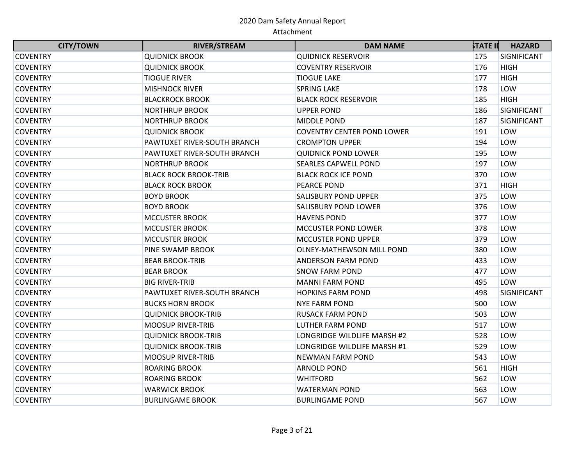| <b>CITY/TOWN</b> | <b>RIVER/STREAM</b>          | <b>DAM NAME</b>                   | <b>STATE II</b> | <b>HAZARD</b> |
|------------------|------------------------------|-----------------------------------|-----------------|---------------|
| <b>COVENTRY</b>  | <b>QUIDNICK BROOK</b>        | <b>QUIDNICK RESERVOIR</b>         | 175             | SIGNIFICANT   |
| <b>COVENTRY</b>  | <b>QUIDNICK BROOK</b>        | <b>COVENTRY RESERVOIR</b>         | 176             | <b>HIGH</b>   |
| <b>COVENTRY</b>  | <b>TIOGUE RIVER</b>          | TIOGUE LAKE                       | 177             | <b>HIGH</b>   |
| <b>COVENTRY</b>  | <b>MISHNOCK RIVER</b>        | <b>SPRING LAKE</b>                | 178             | LOW           |
| <b>COVENTRY</b>  | <b>BLACKROCK BROOK</b>       | <b>BLACK ROCK RESERVOIR</b>       | 185             | <b>HIGH</b>   |
| <b>COVENTRY</b>  | <b>NORTHRUP BROOK</b>        | <b>UPPER POND</b>                 | 186             | SIGNIFICANT   |
| <b>COVENTRY</b>  | <b>NORTHRUP BROOK</b>        | MIDDLE POND                       | 187             | SIGNIFICANT   |
| <b>COVENTRY</b>  | <b>QUIDNICK BROOK</b>        | <b>COVENTRY CENTER POND LOWER</b> | 191             | LOW           |
| <b>COVENTRY</b>  | PAWTUXET RIVER-SOUTH BRANCH  | <b>CROMPTON UPPER</b>             | 194             | LOW           |
| <b>COVENTRY</b>  | PAWTUXET RIVER-SOUTH BRANCH  | <b>QUIDNICK POND LOWER</b>        | 195             | LOW           |
| <b>COVENTRY</b>  | <b>NORTHRUP BROOK</b>        | <b>SEARLES CAPWELL POND</b>       | 197             | LOW           |
| <b>COVENTRY</b>  | <b>BLACK ROCK BROOK-TRIB</b> | <b>BLACK ROCK ICE POND</b>        | 370             | LOW           |
| <b>COVENTRY</b>  | <b>BLACK ROCK BROOK</b>      | <b>PEARCE POND</b>                | 371             | <b>HIGH</b>   |
| <b>COVENTRY</b>  | <b>BOYD BROOK</b>            | <b>SALISBURY POND UPPER</b>       | 375             | LOW           |
| <b>COVENTRY</b>  | <b>BOYD BROOK</b>            | <b>SALISBURY POND LOWER</b>       | 376             | LOW           |
| <b>COVENTRY</b>  | <b>MCCUSTER BROOK</b>        | <b>HAVENS POND</b>                | 377             | LOW           |
| <b>COVENTRY</b>  | <b>MCCUSTER BROOK</b>        | MCCUSTER POND LOWER               | 378             | LOW           |
| <b>COVENTRY</b>  | <b>MCCUSTER BROOK</b>        | <b>MCCUSTER POND UPPER</b>        | 379             | LOW           |
| <b>COVENTRY</b>  | PINE SWAMP BROOK             | OLNEY-MATHEWSON MILL POND         | 380             | LOW           |
| <b>COVENTRY</b>  | <b>BEAR BROOK-TRIB</b>       | <b>ANDERSON FARM POND</b>         | 433             | LOW           |
| <b>COVENTRY</b>  | <b>BEAR BROOK</b>            | <b>SNOW FARM POND</b>             | 477             | LOW           |
| <b>COVENTRY</b>  | <b>BIG RIVER-TRIB</b>        | <b>MANNI FARM POND</b>            | 495             | LOW           |
| <b>COVENTRY</b>  | PAWTUXET RIVER-SOUTH BRANCH  | <b>HOPKINS FARM POND</b>          | 498             | SIGNIFICANT   |
| <b>COVENTRY</b>  | <b>BUCKS HORN BROOK</b>      | <b>NYE FARM POND</b>              | 500             | LOW           |
| <b>COVENTRY</b>  | <b>QUIDNICK BROOK-TRIB</b>   | <b>RUSACK FARM POND</b>           | 503             | LOW           |
| <b>COVENTRY</b>  | <b>MOOSUP RIVER-TRIB</b>     | LUTHER FARM POND                  | 517             | LOW           |
| <b>COVENTRY</b>  | <b>QUIDNICK BROOK-TRIB</b>   | LONGRIDGE WILDLIFE MARSH #2       | 528             | LOW           |
| <b>COVENTRY</b>  | <b>QUIDNICK BROOK-TRIB</b>   | LONGRIDGE WILDLIFE MARSH #1       | 529             | LOW           |
| <b>COVENTRY</b>  | <b>MOOSUP RIVER-TRIB</b>     | <b>NEWMAN FARM POND</b>           | 543             | LOW           |
| <b>COVENTRY</b>  | <b>ROARING BROOK</b>         | <b>ARNOLD POND</b>                | 561             | <b>HIGH</b>   |
| <b>COVENTRY</b>  | <b>ROARING BROOK</b>         | <b>WHITFORD</b>                   | 562             | LOW           |
| <b>COVENTRY</b>  | <b>WARWICK BROOK</b>         | <b>WATERMAN POND</b>              | 563             | LOW           |
| <b>COVENTRY</b>  | <b>BURLINGAME BROOK</b>      | <b>BURLINGAME POND</b>            | 567             | LOW           |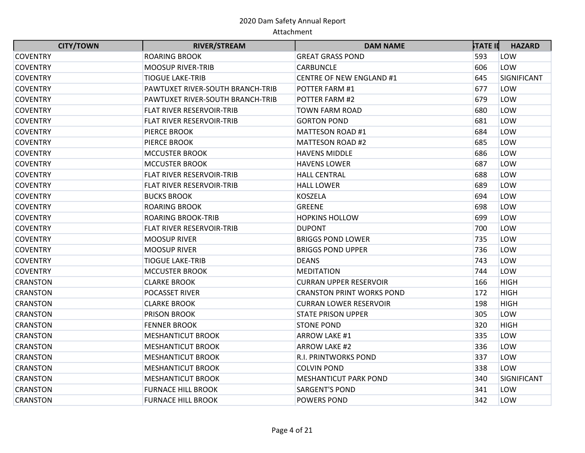| <b>CITY/TOWN</b> | <b>RIVER/STREAM</b>              | <b>DAM NAME</b>                  | <b>STATE II</b> | <b>HAZARD</b> |
|------------------|----------------------------------|----------------------------------|-----------------|---------------|
| <b>COVENTRY</b>  | <b>ROARING BROOK</b>             | <b>GREAT GRASS POND</b>          | 593             | LOW           |
| <b>COVENTRY</b>  | <b>MOOSUP RIVER-TRIB</b>         | CARBUNCLE                        | 606             | LOW           |
| <b>COVENTRY</b>  | <b>TIOGUE LAKE-TRIB</b>          | <b>CENTRE OF NEW ENGLAND #1</b>  | 645             | SIGNIFICANT   |
| <b>COVENTRY</b>  | PAWTUXET RIVER-SOUTH BRANCH-TRIB | POTTER FARM #1                   | 677             | LOW           |
| <b>COVENTRY</b>  | PAWTUXET RIVER-SOUTH BRANCH-TRIB | POTTER FARM #2                   | 679             | LOW           |
| <b>COVENTRY</b>  | FLAT RIVER RESERVOIR-TRIB        | <b>TOWN FARM ROAD</b>            | 680             | LOW           |
| <b>COVENTRY</b>  | FLAT RIVER RESERVOIR-TRIB        | <b>GORTON POND</b>               | 681             | LOW           |
| <b>COVENTRY</b>  | <b>PIERCE BROOK</b>              | MATTESON ROAD #1                 | 684             | LOW           |
| <b>COVENTRY</b>  | <b>PIERCE BROOK</b>              | MATTESON ROAD #2                 | 685             | LOW           |
| <b>COVENTRY</b>  | <b>MCCUSTER BROOK</b>            | <b>HAVENS MIDDLE</b>             | 686             | LOW           |
| <b>COVENTRY</b>  | <b>MCCUSTER BROOK</b>            | <b>HAVENS LOWER</b>              | 687             | LOW           |
| <b>COVENTRY</b>  | <b>FLAT RIVER RESERVOIR-TRIB</b> | <b>HALL CENTRAL</b>              | 688             | LOW           |
| <b>COVENTRY</b>  | FLAT RIVER RESERVOIR-TRIB        | <b>HALL LOWER</b>                | 689             | LOW           |
| <b>COVENTRY</b>  | <b>BUCKS BROOK</b>               | <b>KOSZELA</b>                   | 694             | LOW           |
| <b>COVENTRY</b>  | <b>ROARING BROOK</b>             | <b>GREENE</b>                    | 698             | LOW           |
| <b>COVENTRY</b>  | <b>ROARING BROOK-TRIB</b>        | <b>HOPKINS HOLLOW</b>            | 699             | LOW           |
| <b>COVENTRY</b>  | <b>FLAT RIVER RESERVOIR-TRIB</b> | <b>DUPONT</b>                    | 700             | LOW           |
| <b>COVENTRY</b>  | <b>MOOSUP RIVER</b>              | <b>BRIGGS POND LOWER</b>         | 735             | LOW           |
| <b>COVENTRY</b>  | <b>MOOSUP RIVER</b>              | <b>BRIGGS POND UPPER</b>         | 736             | LOW           |
| <b>COVENTRY</b>  | <b>TIOGUE LAKE-TRIB</b>          | <b>DEANS</b>                     | 743             | LOW           |
| <b>COVENTRY</b>  | <b>MCCUSTER BROOK</b>            | <b>MEDITATION</b>                | 744             | LOW           |
| <b>CRANSTON</b>  | <b>CLARKE BROOK</b>              | <b>CURRAN UPPER RESERVOIR</b>    | 166             | <b>HIGH</b>   |
| <b>CRANSTON</b>  | <b>POCASSET RIVER</b>            | <b>CRANSTON PRINT WORKS POND</b> | 172             | <b>HIGH</b>   |
| <b>CRANSTON</b>  | <b>CLARKE BROOK</b>              | <b>CURRAN LOWER RESERVOIR</b>    | 198             | <b>HIGH</b>   |
| <b>CRANSTON</b>  | <b>PRISON BROOK</b>              | <b>STATE PRISON UPPER</b>        | 305             | LOW           |
| <b>CRANSTON</b>  | <b>FENNER BROOK</b>              | <b>STONE POND</b>                | 320             | <b>HIGH</b>   |
| <b>CRANSTON</b>  | <b>MESHANTICUT BROOK</b>         | ARROW LAKE #1                    | 335             | LOW           |
| <b>CRANSTON</b>  | <b>MESHANTICUT BROOK</b>         | ARROW LAKE #2                    | 336             | LOW           |
| <b>CRANSTON</b>  | <b>MESHANTICUT BROOK</b>         | R.I. PRINTWORKS POND             | 337             | LOW           |
| <b>CRANSTON</b>  | <b>MESHANTICUT BROOK</b>         | <b>COLVIN POND</b>               | 338             | LOW           |
| <b>CRANSTON</b>  | <b>MESHANTICUT BROOK</b>         | <b>MESHANTICUT PARK POND</b>     | 340             | SIGNIFICANT   |
| <b>CRANSTON</b>  | <b>FURNACE HILL BROOK</b>        | <b>SARGENT'S POND</b>            | 341             | LOW           |
| <b>CRANSTON</b>  | <b>FURNACE HILL BROOK</b>        | <b>POWERS POND</b>               | 342             | LOW           |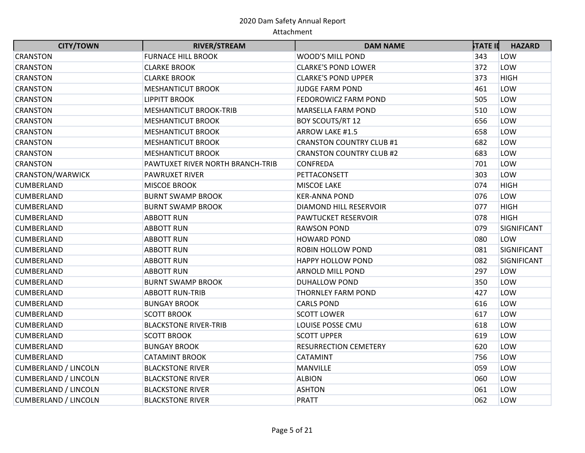| <b>CITY/TOWN</b>            | <b>RIVER/STREAM</b>              | <b>DAM NAME</b>                 | <b>STATE II</b> | <b>HAZARD</b> |
|-----------------------------|----------------------------------|---------------------------------|-----------------|---------------|
| <b>CRANSTON</b>             | <b>FURNACE HILL BROOK</b>        | WOOD'S MILL POND                | 343             | LOW           |
| <b>CRANSTON</b>             | <b>CLARKE BROOK</b>              | <b>CLARKE'S POND LOWER</b>      | 372             | LOW           |
| <b>CRANSTON</b>             | <b>CLARKE BROOK</b>              | <b>CLARKE'S POND UPPER</b>      | 373             | <b>HIGH</b>   |
| <b>CRANSTON</b>             | <b>MESHANTICUT BROOK</b>         | <b>JUDGE FARM POND</b>          | 461             | LOW           |
| <b>CRANSTON</b>             | <b>LIPPITT BROOK</b>             | FEDOROWICZ FARM POND            | 505             | LOW           |
| <b>CRANSTON</b>             | <b>MESHANTICUT BROOK-TRIB</b>    | <b>MARSELLA FARM POND</b>       | 510             | LOW           |
| <b>CRANSTON</b>             | <b>MESHANTICUT BROOK</b>         | <b>BOY SCOUTS/RT 12</b>         | 656             | LOW           |
| <b>CRANSTON</b>             | <b>MESHANTICUT BROOK</b>         | ARROW LAKE #1.5                 | 658             | LOW           |
| <b>CRANSTON</b>             | <b>MESHANTICUT BROOK</b>         | <b>CRANSTON COUNTRY CLUB #1</b> | 682             | LOW           |
| <b>CRANSTON</b>             | <b>MESHANTICUT BROOK</b>         | <b>CRANSTON COUNTRY CLUB #2</b> | 683             | LOW           |
| <b>CRANSTON</b>             | PAWTUXET RIVER NORTH BRANCH-TRIB | <b>CONFREDA</b>                 | 701             | LOW           |
| <b>CRANSTON/WARWICK</b>     | <b>PAWRUXET RIVER</b>            | PETTACONSETT                    | 303             | LOW           |
| <b>CUMBERLAND</b>           | <b>MISCOE BROOK</b>              | <b>MISCOE LAKE</b>              | 074             | <b>HIGH</b>   |
| <b>CUMBERLAND</b>           | <b>BURNT SWAMP BROOK</b>         | <b>KER-ANNA POND</b>            | 076             | LOW           |
| <b>CUMBERLAND</b>           | <b>BURNT SWAMP BROOK</b>         | DIAMOND HILL RESERVOIR          | 077             | <b>HIGH</b>   |
| CUMBERLAND                  | <b>ABBOTT RUN</b>                | PAWTUCKET RESERVOIR             | 078             | <b>HIGH</b>   |
| <b>CUMBERLAND</b>           | <b>ABBOTT RUN</b>                | <b>RAWSON POND</b>              | 079             | SIGNIFICANT   |
| <b>CUMBERLAND</b>           | <b>ABBOTT RUN</b>                | <b>HOWARD POND</b>              | 080             | LOW           |
| <b>CUMBERLAND</b>           | <b>ABBOTT RUN</b>                | ROBIN HOLLOW POND               | 081             | SIGNIFICANT   |
| CUMBERLAND                  | <b>ABBOTT RUN</b>                | <b>HAPPY HOLLOW POND</b>        | 082             | SIGNIFICANT   |
| <b>CUMBERLAND</b>           | <b>ABBOTT RUN</b>                | ARNOLD MILL POND                | 297             | LOW           |
| <b>CUMBERLAND</b>           | <b>BURNT SWAMP BROOK</b>         | <b>DUHALLOW POND</b>            | 350             | LOW           |
| <b>CUMBERLAND</b>           | <b>ABBOTT RUN-TRIB</b>           | THORNLEY FARM POND              | 427             | LOW           |
| <b>CUMBERLAND</b>           | <b>BUNGAY BROOK</b>              | <b>CARLS POND</b>               | 616             | LOW           |
| CUMBERLAND                  | <b>SCOTT BROOK</b>               | <b>SCOTT LOWER</b>              | 617             | LOW           |
| <b>CUMBERLAND</b>           | <b>BLACKSTONE RIVER-TRIB</b>     | LOUISE POSSE CMU                | 618             | LOW           |
| <b>CUMBERLAND</b>           | <b>SCOTT BROOK</b>               | <b>SCOTT UPPER</b>              | 619             | LOW           |
| <b>CUMBERLAND</b>           | <b>BUNGAY BROOK</b>              | <b>RESURRECTION CEMETERY</b>    | 620             | LOW           |
| <b>CUMBERLAND</b>           | <b>CATAMINT BROOK</b>            | <b>CATAMINT</b>                 | 756             | LOW           |
| <b>CUMBERLAND / LINCOLN</b> | <b>BLACKSTONE RIVER</b>          | MANVILLE                        | 059             | LOW           |
| <b>CUMBERLAND / LINCOLN</b> | <b>BLACKSTONE RIVER</b>          | <b>ALBION</b>                   | 060             | LOW           |
| <b>CUMBERLAND / LINCOLN</b> | <b>BLACKSTONE RIVER</b>          | <b>ASHTON</b>                   | 061             | LOW           |
| <b>CUMBERLAND / LINCOLN</b> | <b>BLACKSTONE RIVER</b>          | <b>PRATT</b>                    | 062             | LOW           |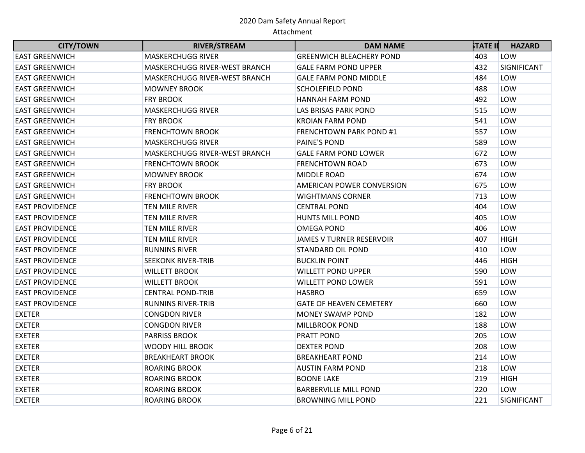| <b>CITY/TOWN</b>       | <b>RIVER/STREAM</b>           | <b>DAM NAME</b>                 | <b>STATE II</b> | <b>HAZARD</b> |
|------------------------|-------------------------------|---------------------------------|-----------------|---------------|
| <b>EAST GREENWICH</b>  | <b>MASKERCHUGG RIVER</b>      | <b>GREENWICH BLEACHERY POND</b> | 403             | LOW           |
| <b>EAST GREENWICH</b>  | MASKERCHUGG RIVER-WEST BRANCH | <b>GALE FARM POND UPPER</b>     | 432             | SIGNIFICANT   |
| <b>EAST GREENWICH</b>  | MASKERCHUGG RIVER-WEST BRANCH | <b>GALE FARM POND MIDDLE</b>    | 484             | LOW           |
| <b>EAST GREENWICH</b>  | <b>MOWNEY BROOK</b>           | <b>SCHOLEFIELD POND</b>         | 488             | LOW           |
| <b>EAST GREENWICH</b>  | <b>FRY BROOK</b>              | <b>HANNAH FARM POND</b>         | 492             | LOW           |
| <b>EAST GREENWICH</b>  | <b>MASKERCHUGG RIVER</b>      | LAS BRISAS PARK POND            | 515             | LOW           |
| <b>EAST GREENWICH</b>  | <b>FRY BROOK</b>              | <b>KROIAN FARM POND</b>         | 541             | LOW           |
| <b>EAST GREENWICH</b>  | <b>FRENCHTOWN BROOK</b>       | <b>FRENCHTOWN PARK POND #1</b>  | 557             | LOW           |
| <b>EAST GREENWICH</b>  | <b>MASKERCHUGG RIVER</b>      | PAINE'S POND                    | 589             | LOW           |
| <b>EAST GREENWICH</b>  | MASKERCHUGG RIVER-WEST BRANCH | <b>GALE FARM POND LOWER</b>     | 672             | LOW           |
| <b>EAST GREENWICH</b>  | <b>FRENCHTOWN BROOK</b>       | <b>FRENCHTOWN ROAD</b>          | 673             | LOW           |
| <b>EAST GREENWICH</b>  | <b>MOWNEY BROOK</b>           | MIDDLE ROAD                     | 674             | LOW           |
| <b>EAST GREENWICH</b>  | <b>FRY BROOK</b>              | AMERICAN POWER CONVERSION       | 675             | LOW           |
| <b>EAST GREENWICH</b>  | <b>FRENCHTOWN BROOK</b>       | <b>WIGHTMANS CORNER</b>         | 713             | LOW           |
| <b>EAST PROVIDENCE</b> | TEN MILE RIVER                | <b>CENTRAL POND</b>             | 404             | LOW           |
| <b>EAST PROVIDENCE</b> | TEN MILE RIVER                | <b>HUNTS MILL POND</b>          | 405             | LOW           |
| <b>EAST PROVIDENCE</b> | TEN MILE RIVER                | <b>OMEGA POND</b>               | 406             | LOW           |
| <b>EAST PROVIDENCE</b> | TEN MILE RIVER                | <b>JAMES V TURNER RESERVOIR</b> | 407             | <b>HIGH</b>   |
| <b>EAST PROVIDENCE</b> | <b>RUNNINS RIVER</b>          | <b>STANDARD OIL POND</b>        | 410             | LOW           |
| <b>EAST PROVIDENCE</b> | <b>SEEKONK RIVER-TRIB</b>     | <b>BUCKLIN POINT</b>            | 446             | <b>HIGH</b>   |
| <b>EAST PROVIDENCE</b> | <b>WILLETT BROOK</b>          | <b>WILLETT POND UPPER</b>       | 590             | LOW           |
| <b>EAST PROVIDENCE</b> | <b>WILLETT BROOK</b>          | <b>WILLETT POND LOWER</b>       | 591             | LOW           |
| <b>EAST PROVIDENCE</b> | <b>CENTRAL POND-TRIB</b>      | <b>HASBRO</b>                   | 659             | LOW           |
| <b>EAST PROVIDENCE</b> | <b>RUNNINS RIVER-TRIB</b>     | <b>GATE OF HEAVEN CEMETERY</b>  | 660             | LOW           |
| <b>EXETER</b>          | <b>CONGDON RIVER</b>          | <b>MONEY SWAMP POND</b>         | 182             | LOW           |
| <b>EXETER</b>          | <b>CONGDON RIVER</b>          | <b>MILLBROOK POND</b>           | 188             | LOW           |
| <b>EXETER</b>          | <b>PARRISS BROOK</b>          | PRATT POND                      | 205             | LOW           |
| <b>EXETER</b>          | <b>WOODY HILL BROOK</b>       | <b>DEXTER POND</b>              | 208             | LOW           |
| <b>EXETER</b>          | <b>BREAKHEART BROOK</b>       | <b>BREAKHEART POND</b>          | 214             | LOW           |
| <b>EXETER</b>          | <b>ROARING BROOK</b>          | AUSTIN FARM POND                | 218             | LOW           |
| <b>EXETER</b>          | <b>ROARING BROOK</b>          | <b>BOONE LAKE</b>               | 219             | <b>HIGH</b>   |
| <b>EXETER</b>          | <b>ROARING BROOK</b>          | <b>BARBERVILLE MILL POND</b>    | 220             | LOW           |
| <b>EXETER</b>          | <b>ROARING BROOK</b>          | <b>BROWNING MILL POND</b>       | 221             | SIGNIFICANT   |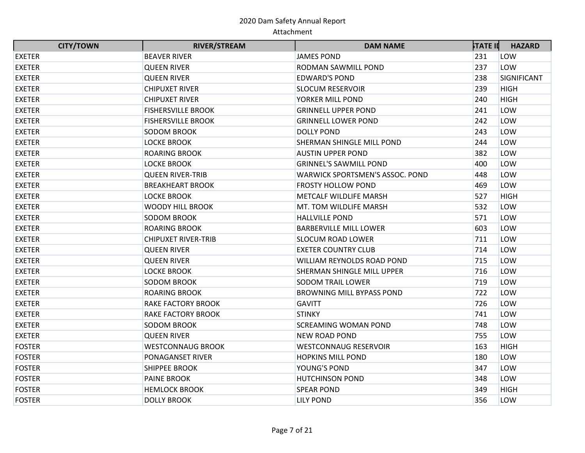| <b>CITY/TOWN</b> | <b>RIVER/STREAM</b>        | <b>DAM NAME</b>                        | <b>STATE II</b> | <b>HAZARD</b> |
|------------------|----------------------------|----------------------------------------|-----------------|---------------|
| <b>EXETER</b>    | <b>BEAVER RIVER</b>        | <b>JAMES POND</b>                      | 231             | LOW           |
| <b>EXETER</b>    | <b>QUEEN RIVER</b>         | RODMAN SAWMILL POND                    | 237             | LOW           |
| <b>EXETER</b>    | <b>QUEEN RIVER</b>         | <b>EDWARD'S POND</b>                   | 238             | SIGNIFICANT   |
| <b>EXETER</b>    | <b>CHIPUXET RIVER</b>      | <b>SLOCUM RESERVOIR</b>                | 239             | <b>HIGH</b>   |
| <b>EXETER</b>    | <b>CHIPUXET RIVER</b>      | YORKER MILL POND                       | 240             | <b>HIGH</b>   |
| <b>EXETER</b>    | <b>FISHERSVILLE BROOK</b>  | <b>GRINNELL UPPER POND</b>             | 241             | LOW           |
| <b>EXETER</b>    | <b>FISHERSVILLE BROOK</b>  | <b>GRINNELL LOWER POND</b>             | 242             | LOW           |
| <b>EXETER</b>    | <b>SODOM BROOK</b>         | <b>DOLLY POND</b>                      | 243             | LOW           |
| <b>EXETER</b>    | <b>LOCKE BROOK</b>         | SHERMAN SHINGLE MILL POND              | 244             | LOW           |
| <b>EXETER</b>    | <b>ROARING BROOK</b>       | <b>AUSTIN UPPER POND</b>               | 382             | LOW           |
| <b>EXETER</b>    | <b>LOCKE BROOK</b>         | <b>GRINNEL'S SAWMILL POND</b>          | 400             | LOW           |
| <b>EXETER</b>    | <b>QUEEN RIVER-TRIB</b>    | <b>WARWICK SPORTSMEN'S ASSOC. POND</b> | 448             | LOW           |
| <b>EXETER</b>    | <b>BREAKHEART BROOK</b>    | <b>FROSTY HOLLOW POND</b>              | 469             | LOW           |
| <b>EXETER</b>    | <b>LOCKE BROOK</b>         | METCALF WILDLIFE MARSH                 | 527             | <b>HIGH</b>   |
| <b>EXETER</b>    | <b>WOODY HILL BROOK</b>    | MT. TOM WILDLIFE MARSH                 | 532             | LOW           |
| <b>EXETER</b>    | <b>SODOM BROOK</b>         | <b>HALLVILLE POND</b>                  | 571             | LOW           |
| <b>EXETER</b>    | <b>ROARING BROOK</b>       | <b>BARBERVILLE MILL LOWER</b>          | 603             | LOW           |
| <b>EXETER</b>    | <b>CHIPUXET RIVER-TRIB</b> | SLOCUM ROAD LOWER                      | 711             | LOW           |
| <b>EXETER</b>    | <b>QUEEN RIVER</b>         | <b>EXETER COUNTRY CLUB</b>             | 714             | LOW           |
| <b>EXETER</b>    | <b>QUEEN RIVER</b>         | WILLIAM REYNOLDS ROAD POND             | 715             | LOW           |
| <b>EXETER</b>    | <b>LOCKE BROOK</b>         | SHERMAN SHINGLE MILL UPPER             | 716             | LOW           |
| <b>EXETER</b>    | SODOM BROOK                | <b>SODOM TRAIL LOWER</b>               | 719             | LOW           |
| <b>EXETER</b>    | <b>ROARING BROOK</b>       | <b>BROWNING MILL BYPASS POND</b>       | 722             | LOW           |
| <b>EXETER</b>    | <b>RAKE FACTORY BROOK</b>  | <b>GAVITT</b>                          | 726             | LOW           |
| <b>EXETER</b>    | <b>RAKE FACTORY BROOK</b>  | <b>STINKY</b>                          | 741             | LOW           |
| <b>EXETER</b>    | <b>SODOM BROOK</b>         | <b>SCREAMING WOMAN POND</b>            | 748             | LOW           |
| <b>EXETER</b>    | <b>QUEEN RIVER</b>         | <b>NEW ROAD POND</b>                   | 755             | LOW           |
| <b>FOSTER</b>    | <b>WESTCONNAUG BROOK</b>   | <b>WESTCONNAUG RESERVOIR</b>           | 163             | <b>HIGH</b>   |
| <b>FOSTER</b>    | PONAGANSET RIVER           | <b>HOPKINS MILL POND</b>               | 180             | LOW           |
| <b>FOSTER</b>    | <b>SHIPPEE BROOK</b>       | YOUNG'S POND                           | 347             | LOW           |
| <b>FOSTER</b>    | <b>PAINE BROOK</b>         | <b>HUTCHINSON POND</b>                 | 348             | LOW           |
| <b>FOSTER</b>    | <b>HEMLOCK BROOK</b>       | <b>SPEAR POND</b>                      | 349             | <b>HIGH</b>   |
| <b>FOSTER</b>    | <b>DOLLY BROOK</b>         | <b>LILY POND</b>                       | 356             | LOW           |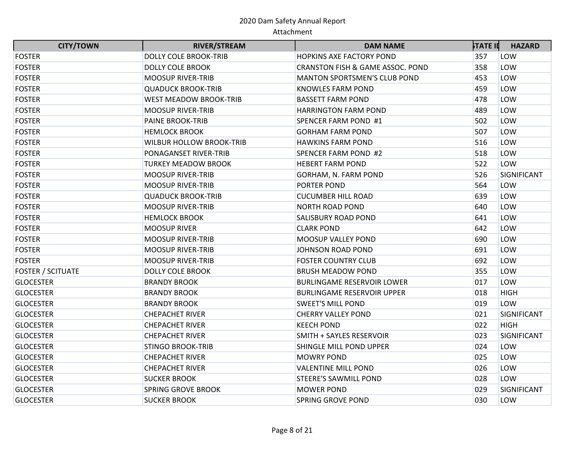| <b>CITY/TOWN</b>         | <b>RIVER/STREAM</b>             | <b>DAM NAME</b>                     | <b>STATE II</b> | <b>HAZARD</b> |
|--------------------------|---------------------------------|-------------------------------------|-----------------|---------------|
| <b>FOSTER</b>            | <b>DOLLY COLE BROOK-TRIB</b>    | <b>HOPKINS AXE FACTORY POND</b>     | 357             | LOW           |
| <b>FOSTER</b>            | <b>DOLLY COLE BROOK</b>         | CRANSTON FISH & GAME ASSOC. POND    | 358             | LOW           |
| <b>FOSTER</b>            | <b>MOOSUP RIVER-TRIB</b>        | <b>MANTON SPORTSMEN'S CLUB POND</b> | 453             | LOW           |
| <b>FOSTER</b>            | <b>QUADUCK BROOK-TRIB</b>       | <b>KNOWLES FARM POND</b>            | 459             | LOW           |
| <b>FOSTER</b>            | <b>WEST MEADOW BROOK-TRIB</b>   | <b>BASSETT FARM POND</b>            | 478             | LOW           |
| <b>FOSTER</b>            | <b>MOOSUP RIVER-TRIB</b>        | HARRINGTON FARM POND                | 489             | LOW           |
| <b>FOSTER</b>            | <b>PAINE BROOK-TRIB</b>         | SPENCER FARM POND #1                | 502             | LOW           |
| <b>FOSTER</b>            | <b>HEMLOCK BROOK</b>            | <b>GORHAM FARM POND</b>             | 507             | LOW           |
| <b>FOSTER</b>            | <b>WILBUR HOLLOW BROOK-TRIB</b> | <b>HAWKINS FARM POND</b>            | 516             | LOW           |
| <b>FOSTER</b>            | PONAGANSET RIVER-TRIB           | SPENCER FARM POND #2                | 518             | LOW           |
| <b>FOSTER</b>            | <b>TURKEY MEADOW BROOK</b>      | <b>HEBERT FARM POND</b>             | 522             | LOW           |
| <b>FOSTER</b>            | <b>MOOSUP RIVER-TRIB</b>        | GORHAM, N. FARM POND                | 526             | SIGNIFICANT   |
| <b>FOSTER</b>            | <b>MOOSUP RIVER-TRIB</b>        | PORTER POND                         | 564             | LOW           |
| <b>FOSTER</b>            | <b>QUADUCK BROOK-TRIB</b>       | <b>CUCUMBER HILL ROAD</b>           | 639             | LOW           |
| <b>FOSTER</b>            | <b>MOOSUP RIVER-TRIB</b>        | <b>NORTH ROAD POND</b>              | 640             | LOW           |
| <b>FOSTER</b>            | <b>HEMLOCK BROOK</b>            | SALISBURY ROAD POND                 | 641             | LOW           |
| <b>FOSTER</b>            | <b>MOOSUP RIVER</b>             | <b>CLARK POND</b>                   | 642             | LOW           |
| <b>FOSTER</b>            | <b>MOOSUP RIVER-TRIB</b>        | <b>MOOSUP VALLEY POND</b>           | 690             | LOW           |
| <b>FOSTER</b>            | <b>MOOSUP RIVER-TRIB</b>        | JOHNSON ROAD POND                   | 691             | LOW           |
| <b>FOSTER</b>            | <b>MOOSUP RIVER-TRIB</b>        | <b>FOSTER COUNTRY CLUB</b>          | 692             | LOW           |
| <b>FOSTER / SCITUATE</b> | <b>DOLLY COLE BROOK</b>         | <b>BRUSH MEADOW POND</b>            | 355             | LOW           |
| <b>GLOCESTER</b>         | <b>BRANDY BROOK</b>             | <b>BURLINGAME RESERVOIR LOWER</b>   | 017             | LOW           |
| <b>GLOCESTER</b>         | <b>BRANDY BROOK</b>             | <b>BURLINGAME RESERVOIR UPPER</b>   | 018             | <b>HIGH</b>   |
| <b>GLOCESTER</b>         | <b>BRANDY BROOK</b>             | <b>SWEET'S MILL POND</b>            | 019             | LOW           |
| <b>GLOCESTER</b>         | <b>CHEPACHET RIVER</b>          | <b>CHERRY VALLEY POND</b>           | 021             | SIGNIFICANT   |
| <b>GLOCESTER</b>         | <b>CHEPACHET RIVER</b>          | <b>KEECH POND</b>                   | 022             | <b>HIGH</b>   |
| <b>GLOCESTER</b>         | <b>CHEPACHET RIVER</b>          | SMITH + SAYLES RESERVOIR            | 023             | SIGNIFICANT   |
| <b>GLOCESTER</b>         | <b>STINGO BROOK-TRIB</b>        | SHINGLE MILL POND UPPER             | 024             | LOW           |
| <b>GLOCESTER</b>         | <b>CHEPACHET RIVER</b>          | <b>MOWRY POND</b>                   | 025             | LOW           |
| <b>GLOCESTER</b>         | <b>CHEPACHET RIVER</b>          | <b>VALENTINE MILL POND</b>          | 026             | LOW           |
| <b>GLOCESTER</b>         | <b>SUCKER BROOK</b>             | <b>STEERE'S SAWMILL POND</b>        | 028             | LOW           |
| <b>GLOCESTER</b>         | <b>SPRING GROVE BROOK</b>       | <b>MOWER POND</b>                   | 029             | SIGNIFICANT   |
| <b>GLOCESTER</b>         | <b>SUCKER BROOK</b>             | <b>SPRING GROVE POND</b>            | 030             | LOW           |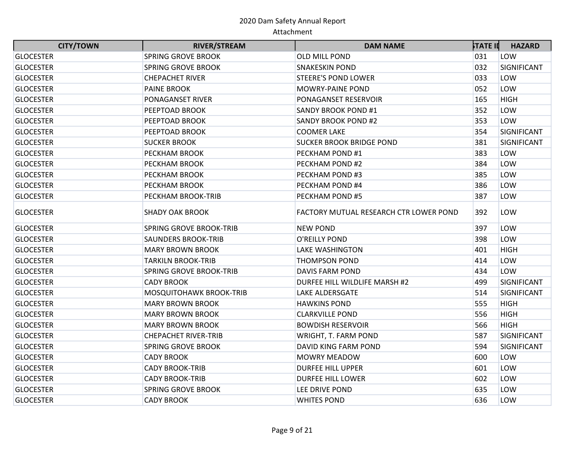| <b>Common</b><br><b>CITY/TOWN</b> | <b>RIVER/STREAM</b>            | <b>DAM NAME</b>                        | <b>STATE II</b> | <b>HAZARD</b> |
|-----------------------------------|--------------------------------|----------------------------------------|-----------------|---------------|
| <b>GLOCESTER</b>                  | <b>SPRING GROVE BROOK</b>      | OLD MILL POND                          | 031             | LOW           |
| <b>GLOCESTER</b>                  | <b>SPRING GROVE BROOK</b>      | <b>SNAKESKIN POND</b>                  | 032             | SIGNIFICANT   |
| <b>GLOCESTER</b>                  | <b>CHEPACHET RIVER</b>         | <b>STEERE'S POND LOWER</b>             | 033             | LOW           |
| <b>GLOCESTER</b>                  | <b>PAINE BROOK</b>             | <b>MOWRY-PAINE POND</b>                | 052             | LOW           |
| <b>GLOCESTER</b>                  | PONAGANSET RIVER               | PONAGANSET RESERVOIR                   | 165             | <b>HIGH</b>   |
| <b>GLOCESTER</b>                  | PEEPTOAD BROOK                 | <b>SANDY BROOK POND #1</b>             | 352             | LOW           |
| <b>GLOCESTER</b>                  | PEEPTOAD BROOK                 | <b>SANDY BROOK POND #2</b>             | 353             | LOW           |
| <b>GLOCESTER</b>                  | PEEPTOAD BROOK                 | <b>COOMER LAKE</b>                     | 354             | SIGNIFICANT   |
| <b>GLOCESTER</b>                  | <b>SUCKER BROOK</b>            | <b>SUCKER BROOK BRIDGE POND</b>        | 381             | SIGNIFICANT   |
| <b>GLOCESTER</b>                  | <b>PECKHAM BROOK</b>           | PECKHAM POND #1                        | 383             | LOW           |
| <b>GLOCESTER</b>                  | <b>PECKHAM BROOK</b>           | PECKHAM POND #2                        | 384             | LOW           |
| <b>GLOCESTER</b>                  | <b>PECKHAM BROOK</b>           | PECKHAM POND #3                        | 385             | LOW           |
| <b>GLOCESTER</b>                  | <b>PECKHAM BROOK</b>           | PECKHAM POND #4                        | 386             | LOW           |
| <b>GLOCESTER</b>                  | <b>PECKHAM BROOK-TRIB</b>      | PECKHAM POND #5                        | 387             | LOW           |
| <b>GLOCESTER</b>                  | <b>SHADY OAK BROOK</b>         | FACTORY MUTUAL RESEARCH CTR LOWER POND | 392             | LOW           |
| <b>GLOCESTER</b>                  | <b>SPRING GROVE BROOK-TRIB</b> | <b>NEW POND</b>                        | 397             | LOW           |
| <b>GLOCESTER</b>                  | <b>SAUNDERS BROOK-TRIB</b>     | O'REILLY POND                          | 398             | LOW           |
| <b>GLOCESTER</b>                  | <b>MARY BROWN BROOK</b>        | <b>LAKE WASHINGTON</b>                 | 401             | <b>HIGH</b>   |
| <b>GLOCESTER</b>                  | <b>TARKILN BROOK-TRIB</b>      | THOMPSON POND                          | 414             | LOW           |
| <b>GLOCESTER</b>                  | <b>SPRING GROVE BROOK-TRIB</b> | <b>DAVIS FARM POND</b>                 | 434             | LOW           |
| <b>GLOCESTER</b>                  | <b>CADY BROOK</b>              | DURFEE HILL WILDLIFE MARSH #2          | 499             | SIGNIFICANT   |
| <b>GLOCESTER</b>                  | MOSQUITOHAWK BROOK-TRIB        | <b>LAKE ALDERSGATE</b>                 | 514             | SIGNIFICANT   |
| <b>GLOCESTER</b>                  | <b>MARY BROWN BROOK</b>        | <b>HAWKINS POND</b>                    | 555             | <b>HIGH</b>   |
| <b>GLOCESTER</b>                  | <b>MARY BROWN BROOK</b>        | <b>CLARKVILLE POND</b>                 | 556             | <b>HIGH</b>   |
| <b>GLOCESTER</b>                  | <b>MARY BROWN BROOK</b>        | <b>BOWDISH RESERVOIR</b>               | 566             | <b>HIGH</b>   |
| <b>GLOCESTER</b>                  | <b>CHEPACHET RIVER-TRIB</b>    | WRIGHT, T. FARM POND                   | 587             | SIGNIFICANT   |
| <b>GLOCESTER</b>                  | <b>SPRING GROVE BROOK</b>      | DAVID KING FARM POND                   | 594             | SIGNIFICANT   |
| <b>GLOCESTER</b>                  | <b>CADY BROOK</b>              | <b>MOWRY MEADOW</b>                    | 600             | LOW           |
| <b>GLOCESTER</b>                  | <b>CADY BROOK-TRIB</b>         | <b>DURFEE HILL UPPER</b>               | 601             | LOW           |
| <b>GLOCESTER</b>                  | <b>CADY BROOK-TRIB</b>         | <b>DURFEE HILL LOWER</b>               | 602             | LOW           |
| <b>GLOCESTER</b>                  | <b>SPRING GROVE BROOK</b>      | LEE DRIVE POND                         | 635             | LOW           |
| <b>GLOCESTER</b>                  | <b>CADY BROOK</b>              | <b>WHITES POND</b>                     | 636             | LOW           |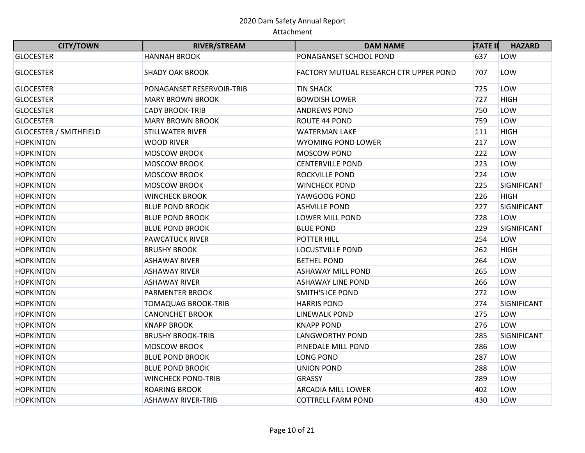| <b>CITY/TOWN</b>              | <b>RIVER/STREAM</b>        | <b>DAM NAME</b>                        | ኦTATE II | <b>HAZARD</b> |
|-------------------------------|----------------------------|----------------------------------------|----------|---------------|
| <b>GLOCESTER</b>              | <b>HANNAH BROOK</b>        | PONAGANSET SCHOOL POND                 | 637      | LOW           |
| <b>GLOCESTER</b>              | <b>SHADY OAK BROOK</b>     | FACTORY MUTUAL RESEARCH CTR UPPER POND | 707      | LOW           |
| <b>GLOCESTER</b>              | PONAGANSET RESERVOIR-TRIB  | TIN SHACK                              | 725      | LOW           |
| <b>GLOCESTER</b>              | <b>MARY BROWN BROOK</b>    | <b>BOWDISH LOWER</b>                   | 727      | <b>HIGH</b>   |
| <b>GLOCESTER</b>              | <b>CADY BROOK-TRIB</b>     | <b>ANDREWS POND</b>                    | 750      | LOW           |
| <b>GLOCESTER</b>              | <b>MARY BROWN BROOK</b>    | ROUTE 44 POND                          | 759      | LOW           |
| <b>GLOCESTER / SMITHFIELD</b> | <b>STILLWATER RIVER</b>    | <b>WATERMAN LAKE</b>                   | 111      | <b>HIGH</b>   |
| <b>HOPKINTON</b>              | <b>WOOD RIVER</b>          | <b>WYOMING POND LOWER</b>              | 217      | LOW           |
| <b>HOPKINTON</b>              | <b>MOSCOW BROOK</b>        | MOSCOW POND                            | 222      | LOW           |
| <b>HOPKINTON</b>              | <b>MOSCOW BROOK</b>        | <b>CENTERVILLE POND</b>                | 223      | LOW           |
| <b>HOPKINTON</b>              | <b>MOSCOW BROOK</b>        | ROCKVILLE POND                         | 224      | LOW           |
| <b>HOPKINTON</b>              | <b>MOSCOW BROOK</b>        | <b>WINCHECK POND</b>                   | 225      | SIGNIFICANT   |
| <b>HOPKINTON</b>              | <b>WINCHECK BROOK</b>      | YAWGOOG POND                           | 226      | <b>HIGH</b>   |
| <b>HOPKINTON</b>              | <b>BLUE POND BROOK</b>     | <b>ASHVILLE POND</b>                   | 227      | SIGNIFICANT   |
| <b>HOPKINTON</b>              | <b>BLUE POND BROOK</b>     | <b>LOWER MILL POND</b>                 | 228      | LOW           |
| <b>HOPKINTON</b>              | <b>BLUE POND BROOK</b>     | <b>BLUE POND</b>                       | 229      | SIGNIFICANT   |
| <b>HOPKINTON</b>              | <b>PAWCATUCK RIVER</b>     | POTTER HILL                            | 254      | LOW           |
| <b>HOPKINTON</b>              | <b>BRUSHY BROOK</b>        | <b>LOCUSTVILLE POND</b>                | 262      | <b>HIGH</b>   |
| <b>HOPKINTON</b>              | <b>ASHAWAY RIVER</b>       | <b>BETHEL POND</b>                     | 264      | LOW           |
| <b>HOPKINTON</b>              | <b>ASHAWAY RIVER</b>       | <b>ASHAWAY MILL POND</b>               | 265      | LOW           |
| <b>HOPKINTON</b>              | <b>ASHAWAY RIVER</b>       | <b>ASHAWAY LINE POND</b>               | 266      | LOW           |
| <b>HOPKINTON</b>              | <b>PARMENTER BROOK</b>     | <b>SMITH'S ICE POND</b>                | 272      | LOW           |
| <b>HOPKINTON</b>              | <b>TOMAQUAG BROOK-TRIB</b> | <b>HARRIS POND</b>                     | 274      | SIGNIFICANT   |
| <b>HOPKINTON</b>              | <b>CANONCHET BROOK</b>     | <b>LINEWALK POND</b>                   | 275      | LOW           |
| <b>HOPKINTON</b>              | <b>KNAPP BROOK</b>         | <b>KNAPP POND</b>                      | 276      | LOW           |
| <b>HOPKINTON</b>              | <b>BRUSHY BROOK-TRIB</b>   | <b>LANGWORTHY POND</b>                 | 285      | SIGNIFICANT   |
| <b>HOPKINTON</b>              | <b>MOSCOW BROOK</b>        | PINEDALE MILL POND                     | 286      | LOW           |
| <b>HOPKINTON</b>              | <b>BLUE POND BROOK</b>     | <b>LONG POND</b>                       | 287      | LOW           |
| <b>HOPKINTON</b>              | <b>BLUE POND BROOK</b>     | <b>UNION POND</b>                      | 288      | LOW           |
| <b>HOPKINTON</b>              | <b>WINCHECK POND-TRIB</b>  | <b>GRASSY</b>                          | 289      | LOW           |
| <b>HOPKINTON</b>              | <b>ROARING BROOK</b>       | ARCADIA MILL LOWER                     | 402      | LOW           |
| <b>HOPKINTON</b>              | <b>ASHAWAY RIVER-TRIB</b>  | <b>COTTRELL FARM POND</b>              | 430      | LOW           |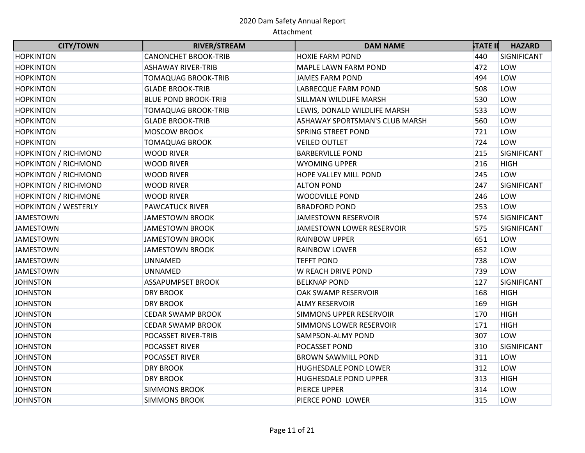| <b>CITY/TOWN</b>            | <b>RIVER/STREAM</b>         | <b>DAM NAME</b>                | <b>STATE II</b> | <b>HAZARD</b> |
|-----------------------------|-----------------------------|--------------------------------|-----------------|---------------|
| <b>HOPKINTON</b>            | <b>CANONCHET BROOK-TRIB</b> | HOXIE FARM POND                | 440             | SIGNIFICANT   |
| <b>HOPKINTON</b>            | <b>ASHAWAY RIVER-TRIB</b>   | MAPLE LAWN FARM POND           | 472             | LOW           |
| <b>HOPKINTON</b>            | <b>TOMAQUAG BROOK-TRIB</b>  | <b>JAMES FARM POND</b>         | 494             | LOW           |
| <b>HOPKINTON</b>            | <b>GLADE BROOK-TRIB</b>     | LABRECQUE FARM POND            | 508             | LOW           |
| <b>HOPKINTON</b>            | <b>BLUE POND BROOK-TRIB</b> | SILLMAN WILDLIFE MARSH         | 530             | LOW           |
| <b>HOPKINTON</b>            | <b>TOMAQUAG BROOK-TRIB</b>  | LEWIS, DONALD WILDLIFE MARSH   | 533             | LOW           |
| <b>HOPKINTON</b>            | <b>GLADE BROOK-TRIB</b>     | ASHAWAY SPORTSMAN'S CLUB MARSH | 560             | LOW           |
| <b>HOPKINTON</b>            | <b>MOSCOW BROOK</b>         | <b>SPRING STREET POND</b>      | 721             | LOW           |
| <b>HOPKINTON</b>            | <b>TOMAQUAG BROOK</b>       | <b>VEILED OUTLET</b>           | 724             | LOW           |
| <b>HOPKINTON / RICHMOND</b> | <b>WOOD RIVER</b>           | <b>BARBERVILLE POND</b>        | 215             | SIGNIFICANT   |
| <b>HOPKINTON / RICHMOND</b> | <b>WOOD RIVER</b>           | <b>WYOMING UPPER</b>           | 216             | <b>HIGH</b>   |
| <b>HOPKINTON / RICHMOND</b> | <b>WOOD RIVER</b>           | HOPE VALLEY MILL POND          | 245             | LOW           |
| <b>HOPKINTON / RICHMOND</b> | <b>WOOD RIVER</b>           | <b>ALTON POND</b>              | 247             | SIGNIFICANT   |
| <b>HOPKINTON / RICHMONE</b> | <b>WOOD RIVER</b>           | <b>WOODVILLE POND</b>          | 246             | LOW           |
| <b>HOPKINTON / WESTERLY</b> | <b>PAWCATUCK RIVER</b>      | <b>BRADFORD POND</b>           | 253             | LOW           |
| <b>JAMESTOWN</b>            | JAMESTOWN BROOK             | <b>JAMESTOWN RESERVOIR</b>     | 574             | SIGNIFICANT   |
| <b>JAMESTOWN</b>            | <b>JAMESTOWN BROOK</b>      | JAMESTOWN LOWER RESERVOIR      | 575             | SIGNIFICANT   |
| <b>JAMESTOWN</b>            | JAMESTOWN BROOK             | <b>RAINBOW UPPER</b>           | 651             | LOW           |
| <b>JAMESTOWN</b>            | JAMESTOWN BROOK             | <b>RAINBOW LOWER</b>           | 652             | LOW           |
| <b>JAMESTOWN</b>            | <b>UNNAMED</b>              | <b>TEFFT POND</b>              | 738             | LOW           |
| <b>JAMESTOWN</b>            | <b>UNNAMED</b>              | W REACH DRIVE POND             | 739             | LOW           |
| <b>JOHNSTON</b>             | <b>ASSAPUMPSET BROOK</b>    | <b>BELKNAP POND</b>            | 127             | SIGNIFICANT   |
| <b>JOHNSTON</b>             | <b>DRY BROOK</b>            | OAK SWAMP RESERVOIR            | 168             | <b>HIGH</b>   |
| <b>JOHNSTON</b>             | <b>DRY BROOK</b>            | <b>ALMY RESERVOIR</b>          | 169             | <b>HIGH</b>   |
| <b>JOHNSTON</b>             | <b>CEDAR SWAMP BROOK</b>    | SIMMONS UPPER RESERVOIR        | 170             | <b>HIGH</b>   |
| <b>JOHNSTON</b>             | <b>CEDAR SWAMP BROOK</b>    | SIMMONS LOWER RESERVOIR        | 171             | <b>HIGH</b>   |
| <b>JOHNSTON</b>             | <b>POCASSET RIVER-TRIB</b>  | SAMPSON-ALMY POND              | 307             | LOW           |
| <b>JOHNSTON</b>             | <b>POCASSET RIVER</b>       | POCASSET POND                  | 310             | SIGNIFICANT   |
| <b>JOHNSTON</b>             | <b>POCASSET RIVER</b>       | <b>BROWN SAWMILL POND</b>      | 311             | LOW           |
| <b>JOHNSTON</b>             | <b>DRY BROOK</b>            | HUGHESDALE POND LOWER          | 312             | LOW           |
| <b>JOHNSTON</b>             | <b>DRY BROOK</b>            | HUGHESDALE POND UPPER          | 313             | <b>HIGH</b>   |
| <b>JOHNSTON</b>             | <b>SIMMONS BROOK</b>        | PIERCE UPPER                   | 314             | LOW           |
| <b>JOHNSTON</b>             | <b>SIMMONS BROOK</b>        | PIERCE POND LOWER              | 315             | LOW           |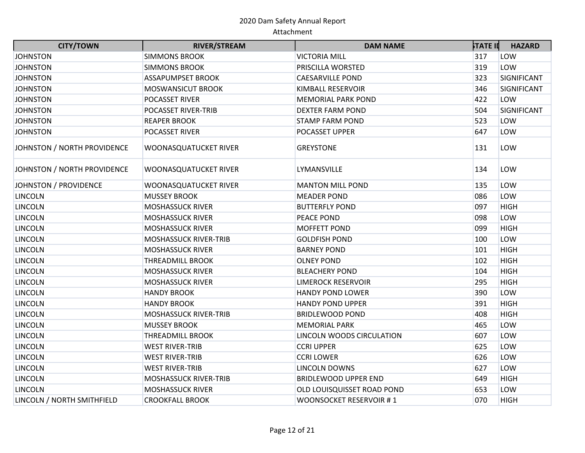| <b>CITY/TOWN</b>            | <b>RIVER/STREAM</b>          | <b>DAM NAME</b>             | <b>STATE II</b> | <b>HAZARD</b> |
|-----------------------------|------------------------------|-----------------------------|-----------------|---------------|
| <b>JOHNSTON</b>             | <b>SIMMONS BROOK</b>         | <b>VICTORIA MILL</b>        | 317             | LOW           |
| <b>JOHNSTON</b>             | <b>SIMMONS BROOK</b>         | PRISCILLA WORSTED           | 319             | LOW           |
| <b>JOHNSTON</b>             | <b>ASSAPUMPSET BROOK</b>     | <b>CAESARVILLE POND</b>     | 323             | SIGNIFICANT   |
| <b>JOHNSTON</b>             | <b>MOSWANSICUT BROOK</b>     | KIMBALL RESERVOIR           | 346             | SIGNIFICANT   |
| <b>JOHNSTON</b>             | POCASSET RIVER               | <b>MEMORIAL PARK POND</b>   | 422             | LOW           |
| <b>JOHNSTON</b>             | <b>POCASSET RIVER-TRIB</b>   | <b>DEXTER FARM POND</b>     | 504             | SIGNIFICANT   |
| <b>JOHNSTON</b>             | <b>REAPER BROOK</b>          | <b>STAMP FARM POND</b>      | 523             | LOW           |
| <b>JOHNSTON</b>             | <b>POCASSET RIVER</b>        | POCASSET UPPER              | 647             | LOW           |
| JOHNSTON / NORTH PROVIDENCE | WOONASQUATUCKET RIVER        | <b>GREYSTONE</b>            | 131             | LOW           |
| JOHNSTON / NORTH PROVIDENCE | WOONASQUATUCKET RIVER        | LYMANSVILLE                 | 134             | LOW           |
| JOHNSTON / PROVIDENCE       | WOONASQUATUCKET RIVER        | <b>MANTON MILL POND</b>     | 135             | LOW           |
| <b>LINCOLN</b>              | <b>MUSSEY BROOK</b>          | <b>MEADER POND</b>          | 086             | LOW           |
| <b>LINCOLN</b>              | <b>MOSHASSUCK RIVER</b>      | <b>BUTTERFLY POND</b>       | 097             | <b>HIGH</b>   |
| <b>LINCOLN</b>              | <b>MOSHASSUCK RIVER</b>      | PEACE POND                  | 098             | LOW           |
| <b>LINCOLN</b>              | <b>MOSHASSUCK RIVER</b>      | MOFFETT POND                | 099             | <b>HIGH</b>   |
| <b>LINCOLN</b>              | <b>MOSHASSUCK RIVER-TRIB</b> | <b>GOLDFISH POND</b>        | 100             | LOW           |
| <b>LINCOLN</b>              | <b>MOSHASSUCK RIVER</b>      | <b>BARNEY POND</b>          | 101             | <b>HIGH</b>   |
| <b>LINCOLN</b>              | <b>THREADMILL BROOK</b>      | <b>OLNEY POND</b>           | 102             | <b>HIGH</b>   |
| <b>LINCOLN</b>              | <b>MOSHASSUCK RIVER</b>      | <b>BLEACHERY POND</b>       | 104             | <b>HIGH</b>   |
| <b>LINCOLN</b>              | <b>MOSHASSUCK RIVER</b>      | <b>LIMEROCK RESERVOIR</b>   | 295             | <b>HIGH</b>   |
| <b>LINCOLN</b>              | <b>HANDY BROOK</b>           | <b>HANDY POND LOWER</b>     | 390             | LOW           |
| <b>LINCOLN</b>              | <b>HANDY BROOK</b>           | <b>HANDY POND UPPER</b>     | 391             | <b>HIGH</b>   |
| <b>LINCOLN</b>              | <b>MOSHASSUCK RIVER-TRIB</b> | <b>BRIDLEWOOD POND</b>      | 408             | <b>HIGH</b>   |
| <b>LINCOLN</b>              | <b>MUSSEY BROOK</b>          | <b>MEMORIAL PARK</b>        | 465             | LOW           |
| <b>LINCOLN</b>              | <b>THREADMILL BROOK</b>      | LINCOLN WOODS CIRCULATION   | 607             | LOW           |
| <b>LINCOLN</b>              | <b>WEST RIVER-TRIB</b>       | <b>CCRI UPPER</b>           | 625             | LOW           |
| <b>LINCOLN</b>              | <b>WEST RIVER-TRIB</b>       | <b>CCRI LOWER</b>           | 626             | LOW           |
| <b>LINCOLN</b>              | <b>WEST RIVER-TRIB</b>       | <b>LINCOLN DOWNS</b>        | 627             | LOW           |
| <b>LINCOLN</b>              | <b>MOSHASSUCK RIVER-TRIB</b> | <b>BRIDLEWOOD UPPER END</b> | 649             | <b>HIGH</b>   |
| <b>LINCOLN</b>              | <b>MOSHASSUCK RIVER</b>      | OLD LOUISQUISSET ROAD POND  | 653             | LOW           |
| LINCOLN / NORTH SMITHFIELD  | <b>CROOKFALL BROOK</b>       | WOONSOCKET RESERVOIR #1     | 070             | <b>HIGH</b>   |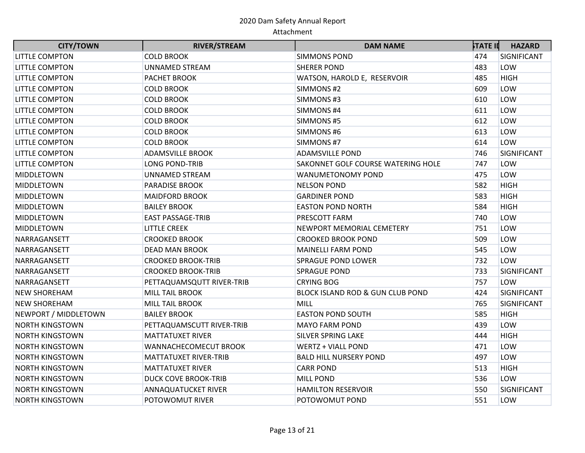| <b>CITY/TOWN</b>       | <b>RIVER/STREAM</b>         | <b>DAM NAME</b>                    | <b>STATE II</b> | <b>HAZARD</b> |
|------------------------|-----------------------------|------------------------------------|-----------------|---------------|
| <b>LITTLE COMPTON</b>  | <b>COLD BROOK</b>           | <b>SIMMONS POND</b>                | 474             | SIGNIFICANT   |
| <b>LITTLE COMPTON</b>  | <b>UNNAMED STREAM</b>       | <b>SHERER POND</b>                 | 483             | LOW           |
| LITTLE COMPTON         | PACHET BROOK                | WATSON, HAROLD E, RESERVOIR        | 485             | <b>HIGH</b>   |
| <b>LITTLE COMPTON</b>  | <b>COLD BROOK</b>           | SIMMONS#2                          | 609             | LOW           |
| LITTLE COMPTON         | <b>COLD BROOK</b>           | SIMMONS#3                          | 610             | LOW           |
| LITTLE COMPTON         | <b>COLD BROOK</b>           | SIMMONS #4                         | 611             | LOW           |
| <b>LITTLE COMPTON</b>  | <b>COLD BROOK</b>           | SIMMONS#5                          | 612             | LOW           |
| LITTLE COMPTON         | <b>COLD BROOK</b>           | SIMMONS#6                          | 613             | LOW           |
| <b>LITTLE COMPTON</b>  | <b>COLD BROOK</b>           | SIMMONS #7                         | 614             | LOW           |
| <b>LITTLE COMPTON</b>  | <b>ADAMSVILLE BROOK</b>     | <b>ADAMSVILLE POND</b>             | 746             | SIGNIFICANT   |
| <b>LITTLE COMPTON</b>  | <b>LONG POND-TRIB</b>       | SAKONNET GOLF COURSE WATERING HOLE | 747             | LOW           |
| <b>MIDDLETOWN</b>      | <b>UNNAMED STREAM</b>       | WANUMETONOMY POND                  | 475             | LOW           |
| <b>MIDDLETOWN</b>      | <b>PARADISE BROOK</b>       | <b>NELSON POND</b>                 | 582             | <b>HIGH</b>   |
| MIDDLETOWN             | <b>MAIDFORD BROOK</b>       | <b>GARDINER POND</b>               | 583             | <b>HIGH</b>   |
| <b>MIDDLETOWN</b>      | <b>BAILEY BROOK</b>         | <b>EASTON POND NORTH</b>           | 584             | <b>HIGH</b>   |
| <b>MIDDLETOWN</b>      | <b>EAST PASSAGE-TRIB</b>    | PRESCOTT FARM                      | 740             | LOW           |
| <b>MIDDLETOWN</b>      | <b>LITTLE CREEK</b>         | NEWPORT MEMORIAL CEMETERY          | 751             | LOW           |
| NARRAGANSETT           | <b>CROOKED BROOK</b>        | <b>CROOKED BROOK POND</b>          | 509             | LOW           |
| NARRAGANSETT           | <b>DEAD MAN BROOK</b>       | <b>MAINELLI FARM POND</b>          | 545             | LOW           |
| NARRAGANSETT           | <b>CROOKED BROOK-TRIB</b>   | <b>SPRAGUE POND LOWER</b>          | 732             | LOW           |
| NARRAGANSETT           | <b>CROOKED BROOK-TRIB</b>   | <b>SPRAGUE POND</b>                | 733             | SIGNIFICANT   |
| NARRAGANSETT           | PETTAQUAMSQUTT RIVER-TRIB   | <b>CRYING BOG</b>                  | 757             | LOW           |
| <b>NEW SHOREHAM</b>    | <b>MILL TAIL BROOK</b>      | BLOCK ISLAND ROD & GUN CLUB POND   | 424             | SIGNIFICANT   |
| <b>NEW SHOREHAM</b>    | <b>MILL TAIL BROOK</b>      | MILL                               | 765             | SIGNIFICANT   |
| NEWPORT / MIDDLETOWN   | <b>BAILEY BROOK</b>         | <b>EASTON POND SOUTH</b>           | 585             | <b>HIGH</b>   |
| <b>NORTH KINGSTOWN</b> | PETTAQUAMSCUTT RIVER-TRIB   | <b>MAYO FARM POND</b>              | 439             | LOW           |
| <b>NORTH KINGSTOWN</b> | <b>MATTATUXET RIVER</b>     | SILVER SPRING LAKE                 | 444             | <b>HIGH</b>   |
| <b>NORTH KINGSTOWN</b> | WANNACHECOMECUT BROOK       | <b>WERTZ + VIALL POND</b>          | 471             | LOW           |
| <b>NORTH KINGSTOWN</b> | MATTATUXET RIVER-TRIB       | <b>BALD HILL NURSERY POND</b>      | 497             | LOW           |
| <b>NORTH KINGSTOWN</b> | <b>MATTATUXET RIVER</b>     | <b>CARR POND</b>                   | 513             | <b>HIGH</b>   |
| <b>NORTH KINGSTOWN</b> | <b>DUCK COVE BROOK-TRIB</b> | <b>MILL POND</b>                   | 536             | LOW           |
| <b>NORTH KINGSTOWN</b> | <b>ANNAQUATUCKET RIVER</b>  | <b>HAMILTON RESERVOIR</b>          | 550             | SIGNIFICANT   |
| <b>NORTH KINGSTOWN</b> | POTOWOMUT RIVER             | POTOWOMUT POND                     | 551             | LOW           |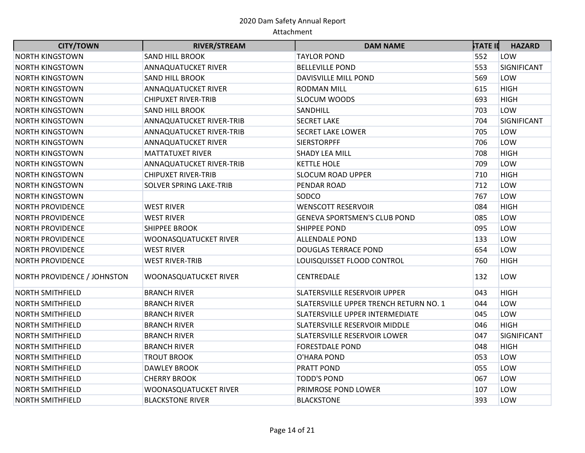| <b>CITY/TOWN</b>            | <b>RIVER/STREAM</b>        | <b>DAM NAME</b>                        | <b>STATE II</b> | <b>HAZARD</b> |
|-----------------------------|----------------------------|----------------------------------------|-----------------|---------------|
| <b>NORTH KINGSTOWN</b>      | <b>SAND HILL BROOK</b>     | <b>TAYLOR POND</b>                     | 552             | LOW           |
| <b>NORTH KINGSTOWN</b>      | <b>ANNAQUATUCKET RIVER</b> | <b>BELLEVILLE POND</b>                 | 553             | SIGNIFICANT   |
| <b>NORTH KINGSTOWN</b>      | <b>SAND HILL BROOK</b>     | <b>DAVISVILLE MILL POND</b>            | 569             | LOW           |
| <b>NORTH KINGSTOWN</b>      | ANNAQUATUCKET RIVER        | <b>RODMAN MILL</b>                     | 615             | <b>HIGH</b>   |
| <b>NORTH KINGSTOWN</b>      | <b>CHIPUXET RIVER-TRIB</b> | <b>SLOCUM WOODS</b>                    | 693             | <b>HIGH</b>   |
| <b>NORTH KINGSTOWN</b>      | <b>SAND HILL BROOK</b>     | SANDHILL                               | 703             | LOW           |
| <b>NORTH KINGSTOWN</b>      | ANNAQUATUCKET RIVER-TRIB   | <b>SECRET LAKE</b>                     | 704             | SIGNIFICANT   |
| <b>NORTH KINGSTOWN</b>      | ANNAQUATUCKET RIVER-TRIB   | <b>SECRET LAKE LOWER</b>               | 705             | LOW           |
| <b>NORTH KINGSTOWN</b>      | ANNAQUATUCKET RIVER        | <b>SIERSTORPFF</b>                     | 706             | LOW           |
| <b>NORTH KINGSTOWN</b>      | <b>MATTATUXET RIVER</b>    | <b>SHADY LEA MILL</b>                  | 708             | <b>HIGH</b>   |
| <b>NORTH KINGSTOWN</b>      | ANNAQUATUCKET RIVER-TRIB   | <b>KETTLE HOLE</b>                     | 709             | LOW           |
| <b>NORTH KINGSTOWN</b>      | <b>CHIPUXET RIVER-TRIB</b> | <b>SLOCUM ROAD UPPER</b>               | 710             | <b>HIGH</b>   |
| <b>NORTH KINGSTOWN</b>      | SOLVER SPRING LAKE-TRIB    | PENDAR ROAD                            | 712             | LOW           |
| <b>NORTH KINGSTOWN</b>      |                            | SODCO                                  | 767             | LOW           |
| <b>NORTH PROVIDENCE</b>     | <b>WEST RIVER</b>          | <b>WENSCOTT RESERVOIR</b>              | 084             | <b>HIGH</b>   |
| <b>NORTH PROVIDENCE</b>     | <b>WEST RIVER</b>          | <b>GENEVA SPORTSMEN'S CLUB POND</b>    | 085             | LOW           |
| <b>NORTH PROVIDENCE</b>     | <b>SHIPPEE BROOK</b>       | <b>SHIPPEE POND</b>                    | 095             | LOW           |
| <b>NORTH PROVIDENCE</b>     | WOONASQUATUCKET RIVER      | <b>ALLENDALE POND</b>                  | 133             | LOW           |
| <b>NORTH PROVIDENCE</b>     | <b>WEST RIVER</b>          | <b>DOUGLAS TERRACE POND</b>            | 654             | LOW           |
| <b>NORTH PROVIDENCE</b>     | <b>WEST RIVER-TRIB</b>     | LOUISQUISSET FLOOD CONTROL             | 760             | <b>HIGH</b>   |
| NORTH PROVIDENCE / JOHNSTON | WOONASQUATUCKET RIVER      | <b>CENTREDALE</b>                      | 132             | LOW           |
| <b>NORTH SMITHFIELD</b>     | <b>BRANCH RIVER</b>        | SLATERSVILLE RESERVOIR UPPER           | 043             | <b>HIGH</b>   |
| <b>NORTH SMITHFIELD</b>     | <b>BRANCH RIVER</b>        | SLATERSVILLE UPPER TRENCH RETURN NO. 1 | 044             | LOW           |
| <b>NORTH SMITHFIELD</b>     | <b>BRANCH RIVER</b>        | SLATERSVILLE UPPER INTERMEDIATE        | 045             | LOW           |
| <b>NORTH SMITHFIELD</b>     | <b>BRANCH RIVER</b>        | SLATERSVILLE RESERVOIR MIDDLE          | 046             | <b>HIGH</b>   |
| <b>NORTH SMITHFIELD</b>     | <b>BRANCH RIVER</b>        | SLATERSVILLE RESERVOIR LOWER           | 047             | SIGNIFICANT   |
| <b>NORTH SMITHFIELD</b>     | <b>BRANCH RIVER</b>        | <b>FORESTDALE POND</b>                 | 048             | <b>HIGH</b>   |
| <b>NORTH SMITHFIELD</b>     | <b>TROUT BROOK</b>         | O'HARA POND                            | 053             | LOW           |
| <b>NORTH SMITHFIELD</b>     | <b>DAWLEY BROOK</b>        | <b>PRATT POND</b>                      | 055             | LOW           |
| <b>NORTH SMITHFIELD</b>     | <b>CHERRY BROOK</b>        | <b>TODD'S POND</b>                     | 067             | LOW           |
| <b>NORTH SMITHFIELD</b>     | WOONASQUATUCKET RIVER      | PRIMROSE POND LOWER                    | 107             | LOW           |
| <b>NORTH SMITHFIELD</b>     | <b>BLACKSTONE RIVER</b>    | <b>BLACKSTONE</b>                      | 393             | LOW           |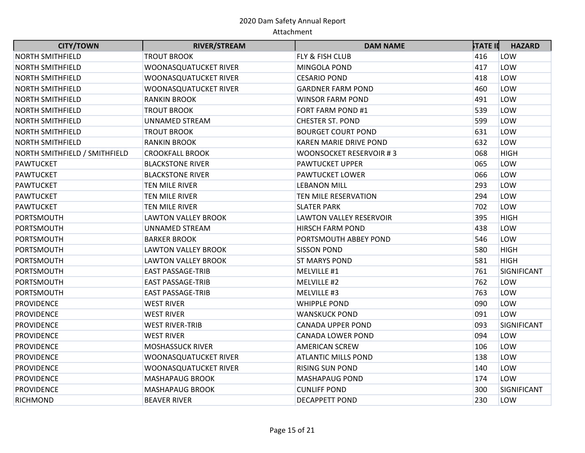| <b>CITY/TOWN</b>              | <b>RIVER/STREAM</b>        | <b>DAM NAME</b>                | <b>STATE II</b> | <b>HAZARD</b> |
|-------------------------------|----------------------------|--------------------------------|-----------------|---------------|
| <b>NORTH SMITHFIELD</b>       | <b>TROUT BROOK</b>         | FLY & FISH CLUB                | 416             | LOW           |
| <b>NORTH SMITHFIELD</b>       | WOONASQUATUCKET RIVER      | MINGOLA POND                   | 417             | LOW           |
| <b>NORTH SMITHFIELD</b>       | WOONASQUATUCKET RIVER      | <b>CESARIO POND</b>            | 418             | LOW           |
| <b>NORTH SMITHFIELD</b>       | WOONASQUATUCKET RIVER      | <b>GARDNER FARM POND</b>       | 460             | LOW           |
| <b>NORTH SMITHFIELD</b>       | <b>RANKIN BROOK</b>        | <b>WINSOR FARM POND</b>        | 491             | LOW           |
| <b>NORTH SMITHFIELD</b>       | <b>TROUT BROOK</b>         | FORT FARM POND #1              | 539             | LOW           |
| <b>NORTH SMITHFIELD</b>       | <b>UNNAMED STREAM</b>      | <b>CHESTER ST. POND</b>        | 599             | LOW           |
| <b>NORTH SMITHFIELD</b>       | <b>TROUT BROOK</b>         | <b>BOURGET COURT POND</b>      | 631             | LOW           |
| <b>NORTH SMITHFIELD</b>       | <b>RANKIN BROOK</b>        | <b>KAREN MARIE DRIVE POND</b>  | 632             | LOW           |
| NORTH SMITHFIELD / SMITHFIELD | <b>CROOKFALL BROOK</b>     | WOONSOCKET RESERVOIR #3        | 068             | <b>HIGH</b>   |
| <b>PAWTUCKET</b>              | <b>BLACKSTONE RIVER</b>    | <b>PAWTUCKET UPPER</b>         | 065             | LOW           |
| <b>PAWTUCKET</b>              | <b>BLACKSTONE RIVER</b>    | <b>PAWTUCKET LOWER</b>         | 066             | LOW           |
| <b>PAWTUCKET</b>              | <b>TEN MILE RIVER</b>      | <b>LEBANON MILL</b>            | 293             | LOW           |
| <b>PAWTUCKET</b>              | <b>TEN MILE RIVER</b>      | TEN MILE RESERVATION           | 294             | LOW           |
| <b>PAWTUCKET</b>              | <b>TEN MILE RIVER</b>      | <b>SLATER PARK</b>             | 702             | LOW           |
| PORTSMOUTH                    | <b>LAWTON VALLEY BROOK</b> | <b>LAWTON VALLEY RESERVOIR</b> | 395             | <b>HIGH</b>   |
| PORTSMOUTH                    | <b>UNNAMED STREAM</b>      | <b>HIRSCH FARM POND</b>        | 438             | LOW           |
| PORTSMOUTH                    | <b>BARKER BROOK</b>        | PORTSMOUTH ABBEY POND          | 546             | LOW           |
| PORTSMOUTH                    | <b>LAWTON VALLEY BROOK</b> | <b>SISSON POND</b>             | 580             | <b>HIGH</b>   |
| <b>PORTSMOUTH</b>             | <b>LAWTON VALLEY BROOK</b> | <b>ST MARYS POND</b>           | 581             | <b>HIGH</b>   |
| PORTSMOUTH                    | <b>EAST PASSAGE-TRIB</b>   | MELVILLE #1                    | 761             | SIGNIFICANT   |
| <b>PORTSMOUTH</b>             | <b>EAST PASSAGE-TRIB</b>   | MELVILLE #2                    | 762             | LOW           |
| PORTSMOUTH                    | <b>EAST PASSAGE-TRIB</b>   | MELVILLE #3                    | 763             | LOW           |
| <b>PROVIDENCE</b>             | <b>WEST RIVER</b>          | <b>WHIPPLE POND</b>            | 090             | LOW           |
| <b>PROVIDENCE</b>             | <b>WEST RIVER</b>          | <b>WANSKUCK POND</b>           | 091             | LOW           |
| <b>PROVIDENCE</b>             | <b>WEST RIVER-TRIB</b>     | <b>CANADA UPPER POND</b>       | 093             | SIGNIFICANT   |
| <b>PROVIDENCE</b>             | <b>WEST RIVER</b>          | <b>CANADA LOWER POND</b>       | 094             | LOW           |
| <b>PROVIDENCE</b>             | <b>MOSHASSUCK RIVER</b>    | <b>AMERICAN SCREW</b>          | 106             | LOW           |
| <b>PROVIDENCE</b>             | WOONASQUATUCKET RIVER      | <b>ATLANTIC MILLS POND</b>     | 138             | LOW           |
| <b>PROVIDENCE</b>             | WOONASQUATUCKET RIVER      | <b>RISING SUN POND</b>         | 140             | LOW           |
| <b>PROVIDENCE</b>             | <b>MASHAPAUG BROOK</b>     | <b>MASHAPAUG POND</b>          | 174             | LOW           |
| <b>PROVIDENCE</b>             | <b>MASHAPAUG BROOK</b>     | <b>CUNLIFF POND</b>            | 300             | SIGNIFICANT   |
| <b>RICHMOND</b>               | <b>BEAVER RIVER</b>        | <b>DECAPPETT POND</b>          | 230             | LOW           |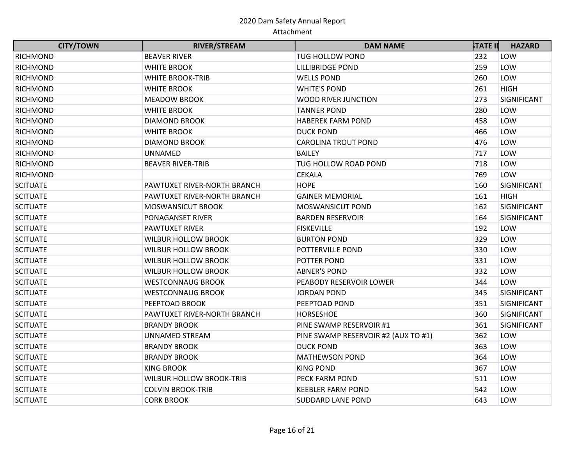| <b>CITY/TOWN</b> | <b>RIVER/STREAM</b>             | <b>DAM NAME</b>                     | <b>STATE II</b> | <b>HAZARD</b> |
|------------------|---------------------------------|-------------------------------------|-----------------|---------------|
| <b>RICHMOND</b>  | <b>BEAVER RIVER</b>             | <b>TUG HOLLOW POND</b>              | 232             | LOW           |
| <b>RICHMOND</b>  | <b>WHITE BROOK</b>              | <b>LILLIBRIDGE POND</b>             | 259             | LOW           |
| <b>RICHMOND</b>  | <b>WHITE BROOK-TRIB</b>         | <b>WELLS POND</b>                   | 260             | LOW           |
| <b>RICHMOND</b>  | <b>WHITE BROOK</b>              | <b>WHITE'S POND</b>                 | 261             | <b>HIGH</b>   |
| <b>RICHMOND</b>  | <b>MEADOW BROOK</b>             | WOOD RIVER JUNCTION                 | 273             | SIGNIFICANT   |
| <b>RICHMOND</b>  | <b>WHITE BROOK</b>              | <b>TANNER POND</b>                  | 280             | LOW           |
| RICHMOND         | <b>DIAMOND BROOK</b>            | <b>HABEREK FARM POND</b>            | 458             | LOW           |
| <b>RICHMOND</b>  | <b>WHITE BROOK</b>              | <b>DUCK POND</b>                    | 466             | LOW           |
| <b>RICHMOND</b>  | <b>DIAMOND BROOK</b>            | <b>CAROLINA TROUT POND</b>          | 476             | LOW           |
| <b>RICHMOND</b>  | UNNAMED                         | <b>BAILEY</b>                       | 717             | LOW           |
| <b>RICHMOND</b>  | <b>BEAVER RIVER-TRIB</b>        | TUG HOLLOW ROAD POND                | 718             | LOW           |
| <b>RICHMOND</b>  |                                 | <b>CEKALA</b>                       | 769             | LOW           |
| <b>SCITUATE</b>  | PAWTUXET RIVER-NORTH BRANCH     | <b>HOPE</b>                         | 160             | SIGNIFICANT   |
| <b>SCITUATE</b>  | PAWTUXET RIVER-NORTH BRANCH     | <b>GAINER MEMORIAL</b>              | 161             | <b>HIGH</b>   |
| <b>SCITUATE</b>  | <b>MOSWANSICUT BROOK</b>        | MOSWANSICUT POND                    | 162             | SIGNIFICANT   |
| <b>SCITUATE</b>  | <b>PONAGANSET RIVER</b>         | <b>BARDEN RESERVOIR</b>             | 164             | SIGNIFICANT   |
| <b>SCITUATE</b>  | <b>PAWTUXET RIVER</b>           | <b>FISKEVILLE</b>                   | 192             | LOW           |
| <b>SCITUATE</b>  | <b>WILBUR HOLLOW BROOK</b>      | <b>BURTON POND</b>                  | 329             | LOW           |
| <b>SCITUATE</b>  | <b>WILBUR HOLLOW BROOK</b>      | POTTERVILLE POND                    | 330             | LOW           |
| <b>SCITUATE</b>  | <b>WILBUR HOLLOW BROOK</b>      | POTTER POND                         | 331             | LOW           |
| <b>SCITUATE</b>  | <b>WILBUR HOLLOW BROOK</b>      | <b>ABNER'S POND</b>                 | 332             | LOW           |
| <b>SCITUATE</b>  | <b>WESTCONNAUG BROOK</b>        | PEABODY RESERVOIR LOWER             | 344             | LOW           |
| <b>SCITUATE</b>  | <b>WESTCONNAUG BROOK</b>        | <b>JORDAN POND</b>                  | 345             | SIGNIFICANT   |
| <b>SCITUATE</b>  | PEEPTOAD BROOK                  | PEEPTOAD POND                       | 351             | SIGNIFICANT   |
| <b>SCITUATE</b>  | PAWTUXET RIVER-NORTH BRANCH     | HORSESHOE                           | 360             | SIGNIFICANT   |
| <b>SCITUATE</b>  | <b>BRANDY BROOK</b>             | PINE SWAMP RESERVOIR #1             | 361             | SIGNIFICANT   |
| <b>SCITUATE</b>  | <b>UNNAMED STREAM</b>           | PINE SWAMP RESERVOIR #2 (AUX TO #1) | 362             | LOW           |
| <b>SCITUATE</b>  | <b>BRANDY BROOK</b>             | <b>DUCK POND</b>                    | 363             | LOW           |
| <b>SCITUATE</b>  | <b>BRANDY BROOK</b>             | <b>MATHEWSON POND</b>               | 364             | LOW           |
| <b>SCITUATE</b>  | <b>KING BROOK</b>               | <b>KING POND</b>                    | 367             | LOW           |
| <b>SCITUATE</b>  | <b>WILBUR HOLLOW BROOK-TRIB</b> | PECK FARM POND                      | 511             | LOW           |
| <b>SCITUATE</b>  | <b>COLVIN BROOK-TRIB</b>        | <b>KEEBLER FARM POND</b>            | 542             | LOW           |
| <b>SCITUATE</b>  | <b>CORK BROOK</b>               | <b>SUDDARD LANE POND</b>            | 643             | LOW           |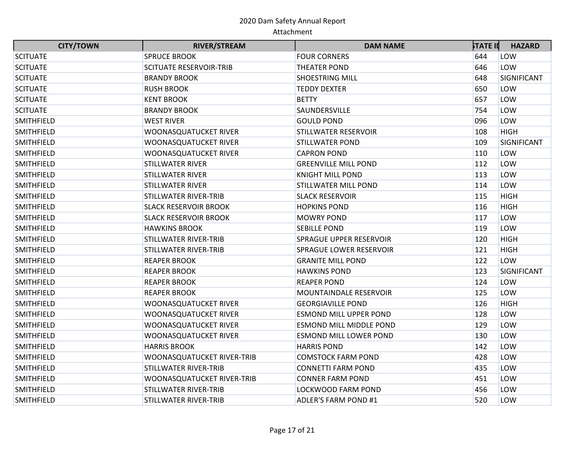| <b>CITY/TOWN</b>  | <b>RIVER/STREAM</b>            | <b>DAM NAME</b>               | <b>STATE II</b> | <b>HAZARD</b> |
|-------------------|--------------------------------|-------------------------------|-----------------|---------------|
| <b>SCITUATE</b>   | <b>SPRUCE BROOK</b>            | <b>FOUR CORNERS</b>           | 644             | LOW           |
| <b>SCITUATE</b>   | <b>SCITUATE RESERVOIR-TRIB</b> | <b>THEATER POND</b>           | 646             | LOW           |
| <b>SCITUATE</b>   | <b>BRANDY BROOK</b>            | <b>SHOESTRING MILL</b>        | 648             | SIGNIFICANT   |
| <b>SCITUATE</b>   | <b>RUSH BROOK</b>              | <b>TEDDY DEXTER</b>           | 650             | LOW           |
| <b>SCITUATE</b>   | <b>KENT BROOK</b>              | <b>BETTY</b>                  | 657             | LOW           |
| <b>SCITUATE</b>   | <b>BRANDY BROOK</b>            | SAUNDERSVILLE                 | 754             | LOW           |
| <b>SMITHFIELD</b> | <b>WEST RIVER</b>              | <b>GOULD POND</b>             | 096             | LOW           |
| <b>SMITHFIELD</b> | <b>WOONASQUATUCKET RIVER</b>   | STILLWATER RESERVOIR          | 108             | <b>HIGH</b>   |
| <b>SMITHFIELD</b> | WOONASQUATUCKET RIVER          | <b>STILLWATER POND</b>        | 109             | SIGNIFICANT   |
| <b>SMITHFIELD</b> | WOONASQUATUCKET RIVER          | <b>CAPRON POND</b>            | 110             | LOW           |
| <b>SMITHFIELD</b> | <b>STILLWATER RIVER</b>        | <b>GREENVILLE MILL POND</b>   | 112             | LOW           |
| <b>SMITHFIELD</b> | <b>STILLWATER RIVER</b>        | <b>KNIGHT MILL POND</b>       | 113             | LOW           |
| <b>SMITHFIELD</b> | <b>STILLWATER RIVER</b>        | STILLWATER MILL POND          | 114             | LOW           |
| <b>SMITHFIELD</b> | <b>STILLWATER RIVER-TRIB</b>   | <b>SLACK RESERVOIR</b>        | 115             | <b>HIGH</b>   |
| <b>SMITHFIELD</b> | <b>SLACK RESERVOIR BROOK</b>   | <b>HOPKINS POND</b>           | 116             | <b>HIGH</b>   |
| <b>SMITHFIELD</b> | <b>SLACK RESERVOIR BROOK</b>   | <b>MOWRY POND</b>             | 117             | LOW           |
| <b>SMITHFIELD</b> | <b>HAWKINS BROOK</b>           | <b>SEBILLE POND</b>           | 119             | LOW           |
| <b>SMITHFIELD</b> | <b>STILLWATER RIVER-TRIB</b>   | SPRAGUE UPPER RESERVOIR       | 120             | <b>HIGH</b>   |
| <b>SMITHFIELD</b> | <b>STILLWATER RIVER-TRIB</b>   | SPRAGUE LOWER RESERVOIR       | 121             | <b>HIGH</b>   |
| <b>SMITHFIELD</b> | <b>REAPER BROOK</b>            | <b>GRANITE MILL POND</b>      | 122             | LOW           |
| <b>SMITHFIELD</b> | <b>REAPER BROOK</b>            | <b>HAWKINS POND</b>           | 123             | SIGNIFICANT   |
| <b>SMITHFIELD</b> | <b>REAPER BROOK</b>            | <b>REAPER POND</b>            | 124             | LOW           |
| <b>SMITHFIELD</b> | <b>REAPER BROOK</b>            | <b>MOUNTAINDALE RESERVOIR</b> | 125             | LOW           |
| <b>SMITHFIELD</b> | <b>WOONASQUATUCKET RIVER</b>   | <b>GEORGIAVILLE POND</b>      | 126             | <b>HIGH</b>   |
| <b>SMITHFIELD</b> | WOONASQUATUCKET RIVER          | <b>ESMOND MILL UPPER POND</b> | 128             | LOW           |
| <b>SMITHFIELD</b> | WOONASQUATUCKET RIVER          | ESMOND MILL MIDDLE POND       | 129             | LOW           |
| <b>SMITHFIELD</b> | WOONASQUATUCKET RIVER          | <b>ESMOND MILL LOWER POND</b> | 130             | LOW           |
| <b>SMITHFIELD</b> | <b>HARRIS BROOK</b>            | <b>HARRIS POND</b>            | 142             | LOW           |
| <b>SMITHFIELD</b> | WOONASQUATUCKET RIVER-TRIB     | <b>COMSTOCK FARM POND</b>     | 428             | LOW           |
| <b>SMITHFIELD</b> | STILLWATER RIVER-TRIB          | <b>CONNETTI FARM POND</b>     | 435             | LOW           |
| <b>SMITHFIELD</b> | WOONASQUATUCKET RIVER-TRIB     | <b>CONNER FARM POND</b>       | 451             | LOW           |
| <b>SMITHFIELD</b> | <b>STILLWATER RIVER-TRIB</b>   | <b>LOCKWOOD FARM POND</b>     | 456             | LOW           |
| <b>SMITHFIELD</b> | <b>STILLWATER RIVER-TRIB</b>   | <b>ADLER'S FARM POND #1</b>   | 520             | LOW           |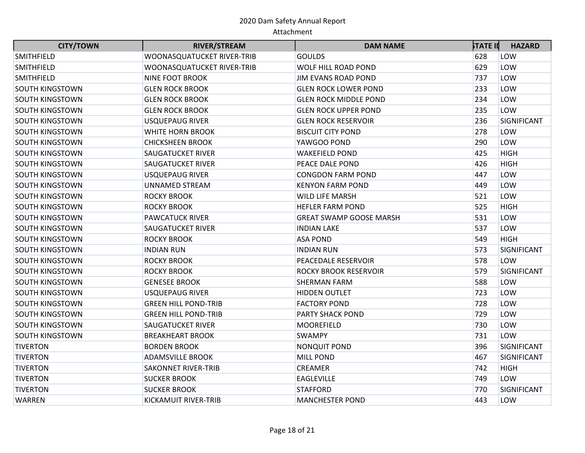| <b>CITY/TOWN</b>       | <b>RIVER/STREAM</b>         | <b>DAM NAME</b>                | <b>STATE II</b> | <b>HAZARD</b> |
|------------------------|-----------------------------|--------------------------------|-----------------|---------------|
| <b>SMITHFIELD</b>      | WOONASQUATUCKET RIVER-TRIB  | <b>GOULDS</b>                  | 628             | LOW           |
| SMITHFIELD             | WOONASQUATUCKET RIVER-TRIB  | WOLF HILL ROAD POND            | 629             | LOW           |
| <b>SMITHFIELD</b>      | <b>NINE FOOT BROOK</b>      | <b>JIM EVANS ROAD POND</b>     | 737             | LOW           |
| <b>SOUTH KINGSTOWN</b> | <b>GLEN ROCK BROOK</b>      | <b>GLEN ROCK LOWER POND</b>    | 233             | LOW           |
| <b>SOUTH KINGSTOWN</b> | <b>GLEN ROCK BROOK</b>      | <b>GLEN ROCK MIDDLE POND</b>   | 234             | LOW           |
| <b>SOUTH KINGSTOWN</b> | <b>GLEN ROCK BROOK</b>      | <b>GLEN ROCK UPPER POND</b>    | 235             | LOW           |
| <b>SOUTH KINGSTOWN</b> | <b>USQUEPAUG RIVER</b>      | <b>GLEN ROCK RESERVOIR</b>     | 236             | SIGNIFICANT   |
| SOUTH KINGSTOWN        | <b>WHITE HORN BROOK</b>     | <b>BISCUIT CITY POND</b>       | 278             | LOW           |
| SOUTH KINGSTOWN        | <b>CHICKSHEEN BROOK</b>     | YAWGOO POND                    | 290             | LOW           |
| <b>SOUTH KINGSTOWN</b> | <b>SAUGATUCKET RIVER</b>    | <b>WAKEFIELD POND</b>          | 425             | <b>HIGH</b>   |
| <b>SOUTH KINGSTOWN</b> | <b>SAUGATUCKET RIVER</b>    | PEACE DALE POND                | 426             | <b>HIGH</b>   |
| SOUTH KINGSTOWN        | <b>USQUEPAUG RIVER</b>      | <b>CONGDON FARM POND</b>       | 447             | LOW           |
| <b>SOUTH KINGSTOWN</b> | <b>UNNAMED STREAM</b>       | <b>KENYON FARM POND</b>        | 449             | LOW           |
| <b>SOUTH KINGSTOWN</b> | <b>ROCKY BROOK</b>          | <b>WILD LIFE MARSH</b>         | 521             | LOW           |
| <b>SOUTH KINGSTOWN</b> | <b>ROCKY BROOK</b>          | <b>HEFLER FARM POND</b>        | 525             | <b>HIGH</b>   |
| <b>SOUTH KINGSTOWN</b> | <b>PAWCATUCK RIVER</b>      | <b>GREAT SWAMP GOOSE MARSH</b> | 531             | LOW           |
| <b>SOUTH KINGSTOWN</b> | <b>SAUGATUCKET RIVER</b>    | <b>INDIAN LAKE</b>             | 537             | LOW           |
| <b>SOUTH KINGSTOWN</b> | <b>ROCKY BROOK</b>          | <b>ASA POND</b>                | 549             | <b>HIGH</b>   |
| <b>SOUTH KINGSTOWN</b> | <b>INDIAN RUN</b>           | <b>INDIAN RUN</b>              | 573             | SIGNIFICANT   |
| <b>SOUTH KINGSTOWN</b> | <b>ROCKY BROOK</b>          | PEACEDALE RESERVOIR            | 578             | LOW           |
| <b>SOUTH KINGSTOWN</b> | <b>ROCKY BROOK</b>          | <b>ROCKY BROOK RESERVOIR</b>   | 579             | SIGNIFICANT   |
| <b>SOUTH KINGSTOWN</b> | <b>GENESEE BROOK</b>        | SHERMAN FARM                   | 588             | LOW           |
| SOUTH KINGSTOWN        | <b>USQUEPAUG RIVER</b>      | <b>HIDDEN OUTLET</b>           | 723             | LOW           |
| <b>SOUTH KINGSTOWN</b> | <b>GREEN HILL POND-TRIB</b> | <b>FACTORY POND</b>            | 728             | LOW           |
| <b>SOUTH KINGSTOWN</b> | <b>GREEN HILL POND-TRIB</b> | PARTY SHACK POND               | 729             | LOW           |
| SOUTH KINGSTOWN        | <b>SAUGATUCKET RIVER</b>    | <b>MOOREFIELD</b>              | 730             | LOW           |
| <b>SOUTH KINGSTOWN</b> | <b>BREAKHEART BROOK</b>     | <b>SWAMPY</b>                  | 731             | LOW           |
| <b>TIVERTON</b>        | <b>BORDEN BROOK</b>         | <b>NONQUIT POND</b>            | 396             | SIGNIFICANT   |
| <b>TIVERTON</b>        | <b>ADAMSVILLE BROOK</b>     | <b>MILL POND</b>               | 467             | SIGNIFICANT   |
| <b>TIVERTON</b>        | <b>SAKONNET RIVER-TRIB</b>  | <b>CREAMER</b>                 | 742             | <b>HIGH</b>   |
| <b>TIVERTON</b>        | <b>SUCKER BROOK</b>         | <b>EAGLEVILLE</b>              | 749             | LOW           |
| <b>TIVERTON</b>        | <b>SUCKER BROOK</b>         | <b>STAFFORD</b>                | 770             | SIGNIFICANT   |
| WARREN                 | KICKAMUIT RIVER-TRIB        | <b>MANCHESTER POND</b>         | 443             | LOW           |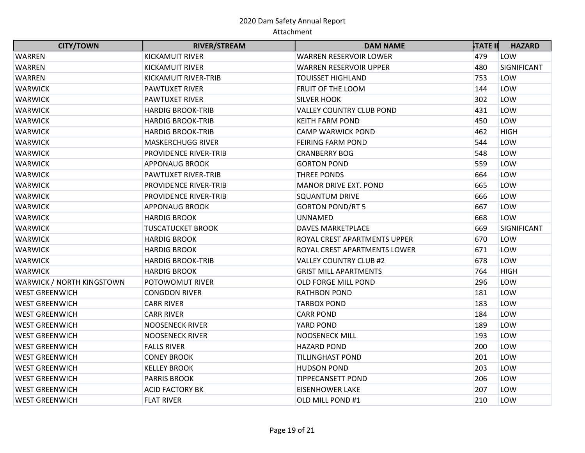| <b>CITY/TOWN</b>          | <b>RIVER/STREAM</b>          | <b>DAM NAME</b>                 | <b>STATE II</b> | <b>HAZARD</b> |
|---------------------------|------------------------------|---------------------------------|-----------------|---------------|
| <b>WARREN</b>             | <b>KICKAMUIT RIVER</b>       | WARREN RESERVOIR LOWER          | 479             | LOW           |
| <b>WARREN</b>             | <b>KICKAMUIT RIVER</b>       | <b>WARREN RESERVOIR UPPER</b>   | 480             | SIGNIFICANT   |
| <b>WARREN</b>             | <b>KICKAMUIT RIVER-TRIB</b>  | <b>TOUISSET HIGHLAND</b>        | 753             | LOW           |
| <b>WARWICK</b>            | <b>PAWTUXET RIVER</b>        | FRUIT OF THE LOOM               | 144             | LOW           |
| <b>WARWICK</b>            | <b>PAWTUXET RIVER</b>        | <b>SILVER HOOK</b>              | 302             | LOW           |
| <b>WARWICK</b>            | <b>HARDIG BROOK-TRIB</b>     | <b>VALLEY COUNTRY CLUB POND</b> | 431             | LOW           |
| <b>WARWICK</b>            | <b>HARDIG BROOK-TRIB</b>     | <b>KEITH FARM POND</b>          | 450             | LOW           |
| <b>WARWICK</b>            | <b>HARDIG BROOK-TRIB</b>     | <b>CAMP WARWICK POND</b>        | 462             | <b>HIGH</b>   |
| <b>WARWICK</b>            | <b>MASKERCHUGG RIVER</b>     | <b>FEIRING FARM POND</b>        | 544             | LOW           |
| <b>WARWICK</b>            | PROVIDENCE RIVER-TRIB        | <b>CRANBERRY BOG</b>            | 548             | LOW           |
| <b>WARWICK</b>            | <b>APPONAUG BROOK</b>        | <b>GORTON POND</b>              | 559             | LOW           |
| <b>WARWICK</b>            | <b>PAWTUXET RIVER-TRIB</b>   | THREE PONDS                     | 664             | LOW           |
| <b>WARWICK</b>            | <b>PROVIDENCE RIVER-TRIB</b> | <b>MANOR DRIVE EXT. POND</b>    | 665             | LOW           |
| <b>WARWICK</b>            | <b>PROVIDENCE RIVER-TRIB</b> | <b>SQUANTUM DRIVE</b>           | 666             | LOW           |
| <b>WARWICK</b>            | <b>APPONAUG BROOK</b>        | <b>GORTON POND/RT 5</b>         | 667             | LOW           |
| <b>WARWICK</b>            | <b>HARDIG BROOK</b>          | <b>UNNAMED</b>                  | 668             | LOW           |
| <b>WARWICK</b>            | <b>TUSCATUCKET BROOK</b>     | <b>DAVES MARKETPLACE</b>        | 669             | SIGNIFICANT   |
| <b>WARWICK</b>            | <b>HARDIG BROOK</b>          | ROYAL CREST APARTMENTS UPPER    | 670             | LOW           |
| <b>WARWICK</b>            | <b>HARDIG BROOK</b>          | ROYAL CREST APARTMENTS LOWER    | 671             | LOW           |
| <b>WARWICK</b>            | <b>HARDIG BROOK-TRIB</b>     | <b>VALLEY COUNTRY CLUB #2</b>   | 678             | LOW           |
| <b>WARWICK</b>            | <b>HARDIG BROOK</b>          | <b>GRIST MILL APARTMENTS</b>    | 764             | <b>HIGH</b>   |
| WARWICK / NORTH KINGSTOWN | <b>POTOWOMUT RIVER</b>       | OLD FORGE MILL POND             | 296             | LOW           |
| <b>WEST GREENWICH</b>     | <b>CONGDON RIVER</b>         | <b>RATHBON POND</b>             | 181             | LOW           |
| <b>WEST GREENWICH</b>     | <b>CARR RIVER</b>            | <b>TARBOX POND</b>              | 183             | LOW           |
| <b>WEST GREENWICH</b>     | <b>CARR RIVER</b>            | <b>CARR POND</b>                | 184             | LOW           |
| <b>WEST GREENWICH</b>     | <b>NOOSENECK RIVER</b>       | YARD POND                       | 189             | LOW           |
| <b>WEST GREENWICH</b>     | <b>NOOSENECK RIVER</b>       | <b>NOOSENECK MILL</b>           | 193             | LOW           |
| <b>WEST GREENWICH</b>     | <b>FALLS RIVER</b>           | <b>HAZARD POND</b>              | 200             | LOW           |
| <b>WEST GREENWICH</b>     | <b>CONEY BROOK</b>           | <b>TILLINGHAST POND</b>         | 201             | LOW           |
| <b>WEST GREENWICH</b>     | <b>KELLEY BROOK</b>          | <b>HUDSON POND</b>              | 203             | LOW           |
| <b>WEST GREENWICH</b>     | <b>PARRIS BROOK</b>          | <b>TIPPECANSETT POND</b>        | 206             | LOW           |
| <b>WEST GREENWICH</b>     | <b>ACID FACTORY BK</b>       | <b>EISENHOWER LAKE</b>          | 207             | LOW           |
| <b>WEST GREENWICH</b>     | <b>FLAT RIVER</b>            | OLD MILL POND #1                | 210             | LOW           |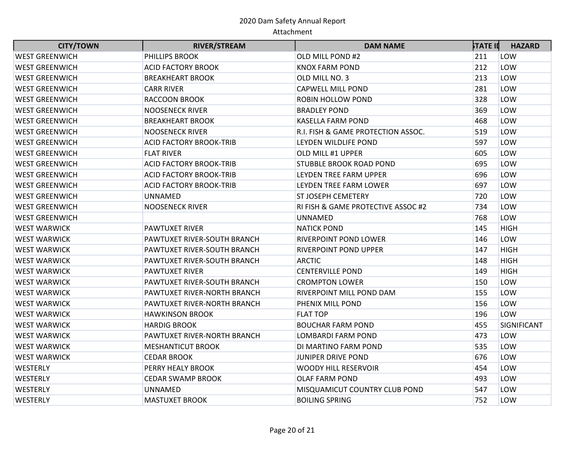| <b>CITY/TOWN</b>      | <b>RIVER/STREAM</b>            | <b>DAM NAME</b>                    | <b>STATE II</b> | <b>HAZARD</b> |
|-----------------------|--------------------------------|------------------------------------|-----------------|---------------|
| <b>WEST GREENWICH</b> | PHILLIPS BROOK                 | OLD MILL POND #2                   | 211             | LOW           |
| <b>WEST GREENWICH</b> | <b>ACID FACTORY BROOK</b>      | <b>KNOX FARM POND</b>              | 212             | LOW           |
| <b>WEST GREENWICH</b> | <b>BREAKHEART BROOK</b>        | OLD MILL NO. 3                     | 213             | LOW           |
| <b>WEST GREENWICH</b> | <b>CARR RIVER</b>              | <b>CAPWELL MILL POND</b>           | 281             | LOW           |
| <b>WEST GREENWICH</b> | RACCOON BROOK                  | <b>ROBIN HOLLOW POND</b>           | 328             | LOW           |
| <b>WEST GREENWICH</b> | <b>NOOSENECK RIVER</b>         | <b>BRADLEY POND</b>                | 369             | LOW           |
| <b>WEST GREENWICH</b> | <b>BREAKHEART BROOK</b>        | <b>KASELLA FARM POND</b>           | 468             | LOW           |
| <b>WEST GREENWICH</b> | <b>NOOSENECK RIVER</b>         | R.I. FISH & GAME PROTECTION ASSOC. | 519             | LOW           |
| <b>WEST GREENWICH</b> | ACID FACTORY BROOK-TRIB        | LEYDEN WILDLIFE POND               | 597             | LOW           |
| <b>WEST GREENWICH</b> | <b>FLAT RIVER</b>              | OLD MILL #1 UPPER                  | 605             | LOW           |
| <b>WEST GREENWICH</b> | <b>ACID FACTORY BROOK-TRIB</b> | <b>STUBBLE BROOK ROAD POND</b>     | 695             | LOW           |
| <b>WEST GREENWICH</b> | <b>ACID FACTORY BROOK-TRIB</b> | LEYDEN TREE FARM UPPER             | 696             | LOW           |
| <b>WEST GREENWICH</b> | ACID FACTORY BROOK-TRIB        | LEYDEN TREE FARM LOWER             | 697             | LOW           |
| <b>WEST GREENWICH</b> | <b>UNNAMED</b>                 | <b>ST JOSEPH CEMETERY</b>          | 720             | LOW           |
| <b>WEST GREENWICH</b> | <b>NOOSENECK RIVER</b>         | RI FISH & GAME PROTECTIVE ASSOC #2 | 734             | LOW           |
| <b>WEST GREENWICH</b> |                                | <b>UNNAMED</b>                     | 768             | LOW           |
| <b>WEST WARWICK</b>   | <b>PAWTUXET RIVER</b>          | <b>NATICK POND</b>                 | 145             | <b>HIGH</b>   |
| <b>WEST WARWICK</b>   | PAWTUXET RIVER-SOUTH BRANCH    | <b>RIVERPOINT POND LOWER</b>       | 146             | LOW           |
| <b>WEST WARWICK</b>   | PAWTUXET RIVER-SOUTH BRANCH    | <b>RIVERPOINT POND UPPER</b>       | 147             | <b>HIGH</b>   |
| <b>WEST WARWICK</b>   | PAWTUXET RIVER-SOUTH BRANCH    | <b>ARCTIC</b>                      | 148             | <b>HIGH</b>   |
| <b>WEST WARWICK</b>   | <b>PAWTUXET RIVER</b>          | <b>CENTERVILLE POND</b>            | 149             | <b>HIGH</b>   |
| <b>WEST WARWICK</b>   | PAWTUXET RIVER-SOUTH BRANCH    | <b>CROMPTON LOWER</b>              | 150             | LOW           |
| <b>WEST WARWICK</b>   | PAWTUXET RIVER-NORTH BRANCH    | RIVERPOINT MILL POND DAM           | 155             | LOW           |
| <b>WEST WARWICK</b>   | PAWTUXET RIVER-NORTH BRANCH    | PHENIX MILL POND                   | 156             | LOW           |
| <b>WEST WARWICK</b>   | <b>HAWKINSON BROOK</b>         | <b>FLAT TOP</b>                    | 196             | LOW           |
| <b>WEST WARWICK</b>   | HARDIG BROOK                   | <b>BOUCHAR FARM POND</b>           | 455             | SIGNIFICANT   |
| <b>WEST WARWICK</b>   | PAWTUXET RIVER-NORTH BRANCH    | <b>LOMBARDI FARM POND</b>          | 473             | LOW           |
| <b>WEST WARWICK</b>   | <b>MESHANTICUT BROOK</b>       | DI MARTINO FARM POND               | 535             | LOW           |
| <b>WEST WARWICK</b>   | <b>CEDAR BROOK</b>             | <b>JUNIPER DRIVE POND</b>          | 676             | LOW           |
| WESTERLY              | PERRY HEALY BROOK              | <b>WOODY HILL RESERVOIR</b>        | 454             | LOW           |
| <b>WESTERLY</b>       | CEDAR SWAMP BROOK              | <b>OLAF FARM POND</b>              | 493             | LOW           |
| WESTERLY              | <b>UNNAMED</b>                 | MISQUAMICUT COUNTRY CLUB POND      | 547             | LOW           |
| WESTERLY              | <b>MASTUXET BROOK</b>          | <b>BOILING SPRING</b>              | 752             | LOW           |